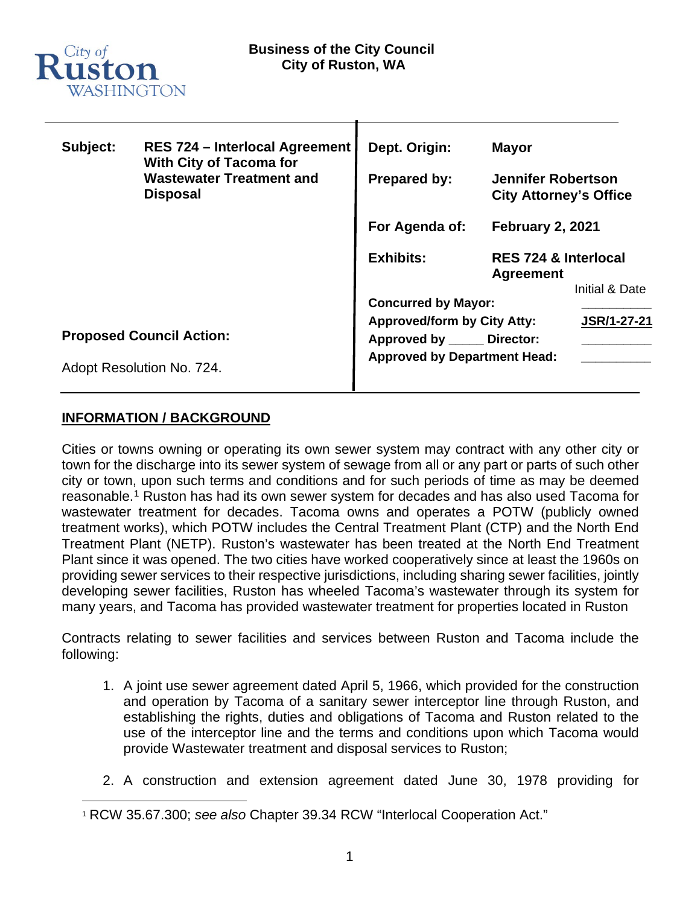

| Subject:                  | <b>RES 724 - Interlocal Agreement</b><br><b>With City of Tacoma for</b><br><b>Wastewater Treatment and</b><br><b>Disposal</b> | Dept. Origin:                       | <b>Mayor</b>                                                                                                                                 |                |
|---------------------------|-------------------------------------------------------------------------------------------------------------------------------|-------------------------------------|----------------------------------------------------------------------------------------------------------------------------------------------|----------------|
|                           |                                                                                                                               | <b>Prepared by:</b>                 | <b>Jennifer Robertson</b><br><b>City Attorney's Office</b><br><b>February 2, 2021</b><br><b>RES 724 &amp; Interlocal</b><br><b>Agreement</b> |                |
|                           |                                                                                                                               | For Agenda of:                      |                                                                                                                                              |                |
|                           |                                                                                                                               | <b>Exhibits:</b>                    |                                                                                                                                              |                |
|                           |                                                                                                                               |                                     |                                                                                                                                              | Initial & Date |
|                           |                                                                                                                               | <b>Concurred by Mayor:</b>          |                                                                                                                                              |                |
|                           | <b>Proposed Council Action:</b>                                                                                               | <b>Approved/form by City Atty:</b>  |                                                                                                                                              | JSR/1-27-21    |
|                           |                                                                                                                               | Approved by ______ Director:        |                                                                                                                                              |                |
| Adopt Resolution No. 724. |                                                                                                                               | <b>Approved by Department Head:</b> |                                                                                                                                              |                |

#### **INFORMATION / BACKGROUND**

Cities or towns owning or operating its own sewer system may contract with any other city or town for the discharge into its sewer system of sewage from all or any part or parts of such other city or town, upon such terms and conditions and for such periods of time as may be deemed reasonable. [1](#page-0-0) Ruston has had its own sewer system for decades and has also used Tacoma for wastewater treatment for decades. Tacoma owns and operates a POTW (publicly owned treatment works), which POTW includes the Central Treatment Plant (CTP) and the North End Treatment Plant (NETP). Ruston's wastewater has been treated at the North End Treatment Plant since it was opened. The two cities have worked cooperatively since at least the 1960s on providing sewer services to their respective jurisdictions, including sharing sewer facilities, jointly developing sewer facilities, Ruston has wheeled Tacoma's wastewater through its system for many years, and Tacoma has provided wastewater treatment for properties located in Ruston

Contracts relating to sewer facilities and services between Ruston and Tacoma include the following:

- 1. A joint use sewer agreement dated April 5, 1966, which provided for the construction and operation by Tacoma of a sanitary sewer interceptor line through Ruston, and establishing the rights, duties and obligations of Tacoma and Ruston related to the use of the interceptor line and the terms and conditions upon which Tacoma would provide Wastewater treatment and disposal services to Ruston;
- 2. A construction and extension agreement dated June 30, 1978 providing for

<span id="page-0-0"></span><sup>1</sup> RCW 35.67.300; *see also* Chapter 39.34 RCW "Interlocal Cooperation Act."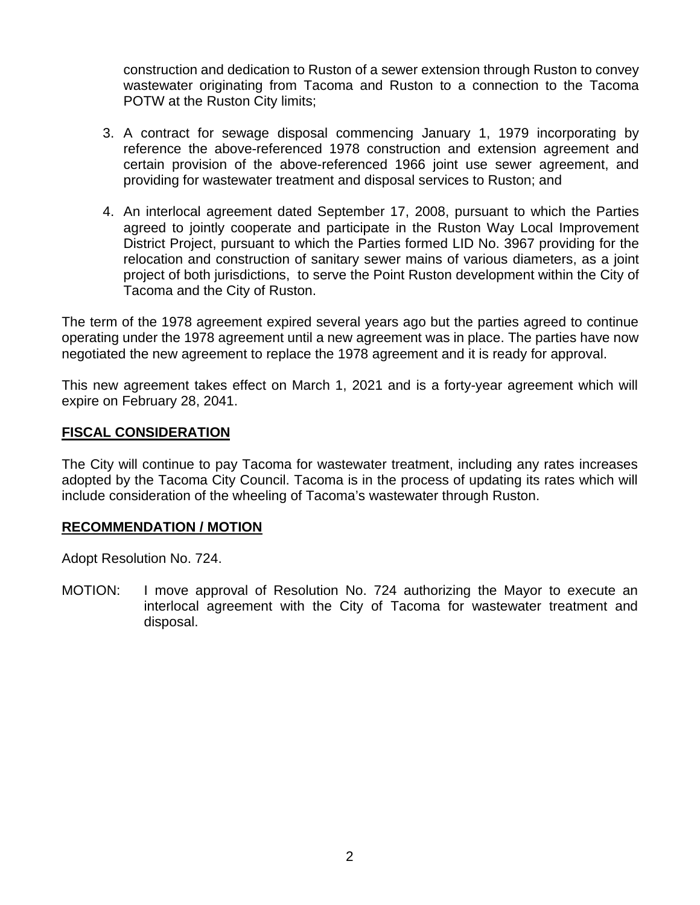construction and dedication to Ruston of a sewer extension through Ruston to convey wastewater originating from Tacoma and Ruston to a connection to the Tacoma POTW at the Ruston City limits;

- 3. A contract for sewage disposal commencing January 1, 1979 incorporating by reference the above-referenced 1978 construction and extension agreement and certain provision of the above-referenced 1966 joint use sewer agreement, and providing for wastewater treatment and disposal services to Ruston; and
- 4. An interlocal agreement dated September 17, 2008, pursuant to which the Parties agreed to jointly cooperate and participate in the Ruston Way Local Improvement District Project, pursuant to which the Parties formed LID No. 3967 providing for the relocation and construction of sanitary sewer mains of various diameters, as a joint project of both jurisdictions, to serve the Point Ruston development within the City of Tacoma and the City of Ruston.

The term of the 1978 agreement expired several years ago but the parties agreed to continue operating under the 1978 agreement until a new agreement was in place. The parties have now negotiated the new agreement to replace the 1978 agreement and it is ready for approval.

This new agreement takes effect on March 1, 2021 and is a forty-year agreement which will expire on February 28, 2041.

#### **FISCAL CONSIDERATION**

The City will continue to pay Tacoma for wastewater treatment, including any rates increases adopted by the Tacoma City Council. Tacoma is in the process of updating its rates which will include consideration of the wheeling of Tacoma's wastewater through Ruston.

#### **RECOMMENDATION / MOTION**

Adopt Resolution No. 724.

MOTION: I move approval of Resolution No. 724 authorizing the Mayor to execute an interlocal agreement with the City of Tacoma for wastewater treatment and disposal.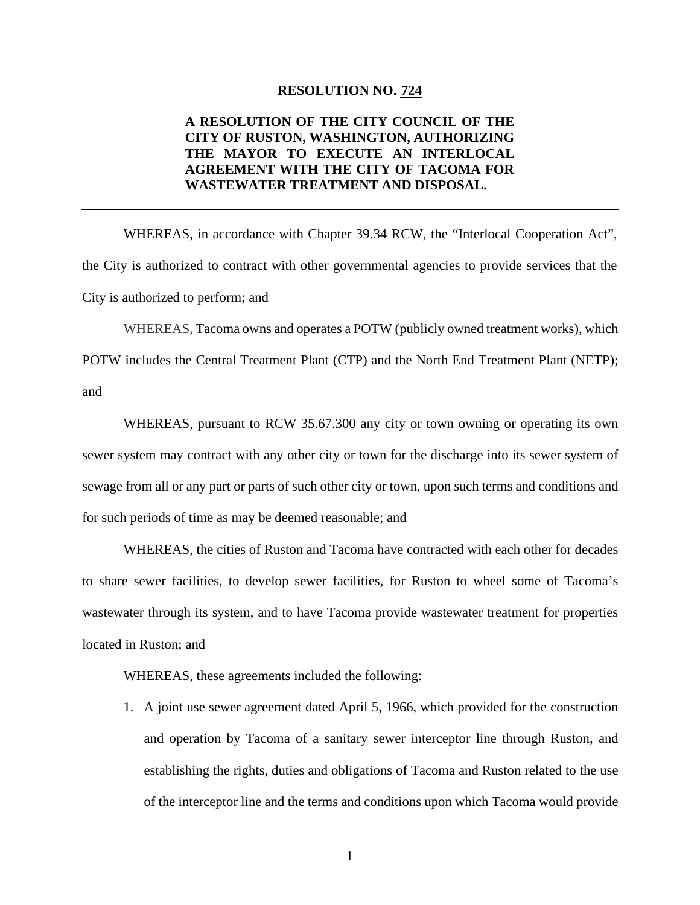#### **RESOLUTION NO. 724**

#### **A RESOLUTION OF THE CITY COUNCIL OF THE CITY OF RUSTON, WASHINGTON, AUTHORIZING THE MAYOR TO EXECUTE AN INTERLOCAL AGREEMENT WITH THE CITY OF TACOMA FOR WASTEWATER TREATMENT AND DISPOSAL.**

WHEREAS, in accordance with Chapter 39.34 RCW, the "Interlocal Cooperation Act", the City is authorized to contract with other governmental agencies to provide services that the City is authorized to perform; and

WHEREAS, Tacoma owns and operates a POTW (publicly owned treatment works), which POTW includes the Central Treatment Plant (CTP) and the North End Treatment Plant (NETP); and

WHEREAS, pursuant to RCW 35.67.300 any city or town owning or operating its own sewer system may contract with any other city or town for the discharge into its sewer system of sewage from all or any part or parts of such other city or town, upon such terms and conditions and for such periods of time as may be deemed reasonable; and

WHEREAS, the cities of Ruston and Tacoma have contracted with each other for decades to share sewer facilities, to develop sewer facilities, for Ruston to wheel some of Tacoma's wastewater through its system, and to have Tacoma provide wastewater treatment for properties located in Ruston; and

WHEREAS, these agreements included the following:

1. A joint use sewer agreement dated April 5, 1966, which provided for the construction and operation by Tacoma of a sanitary sewer interceptor line through Ruston, and establishing the rights, duties and obligations of Tacoma and Ruston related to the use of the interceptor line and the terms and conditions upon which Tacoma would provide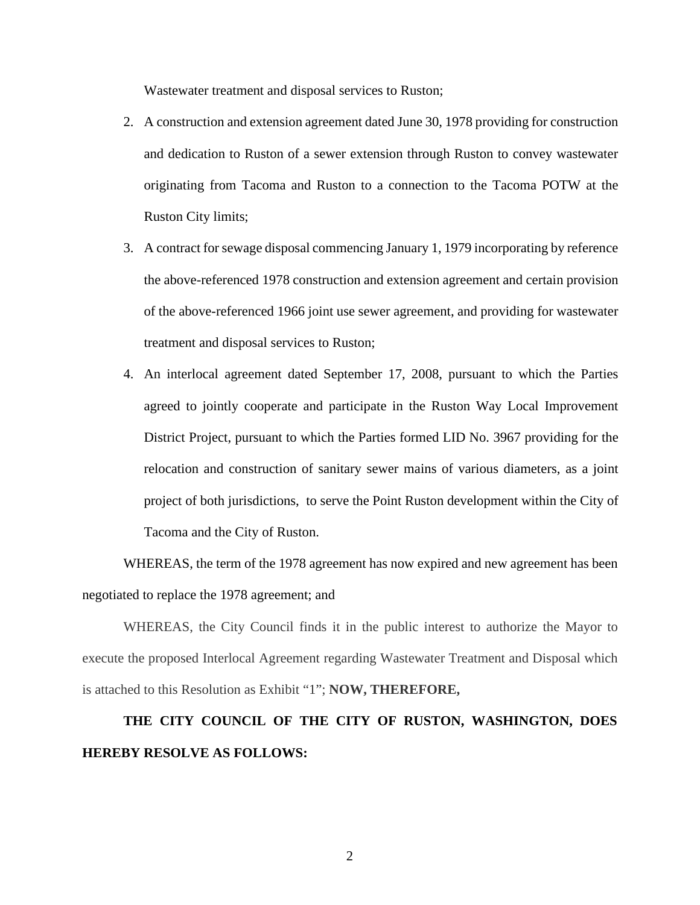Wastewater treatment and disposal services to Ruston;

- 2. A construction and extension agreement dated June 30, 1978 providing for construction and dedication to Ruston of a sewer extension through Ruston to convey wastewater originating from Tacoma and Ruston to a connection to the Tacoma POTW at the Ruston City limits;
- 3. A contract for sewage disposal commencing January 1, 1979 incorporating by reference the above-referenced 1978 construction and extension agreement and certain provision of the above-referenced 1966 joint use sewer agreement, and providing for wastewater treatment and disposal services to Ruston;
- 4. An interlocal agreement dated September 17, 2008, pursuant to which the Parties agreed to jointly cooperate and participate in the Ruston Way Local Improvement District Project, pursuant to which the Parties formed LID No. 3967 providing for the relocation and construction of sanitary sewer mains of various diameters, as a joint project of both jurisdictions, to serve the Point Ruston development within the City of Tacoma and the City of Ruston.

WHEREAS, the term of the 1978 agreement has now expired and new agreement has been negotiated to replace the 1978 agreement; and

WHEREAS, the City Council finds it in the public interest to authorize the Mayor to execute the proposed Interlocal Agreement regarding Wastewater Treatment and Disposal which is attached to this Resolution as Exhibit "1"; **NOW, THEREFORE,**

# **THE CITY COUNCIL OF THE CITY OF RUSTON, WASHINGTON, DOES HEREBY RESOLVE AS FOLLOWS:**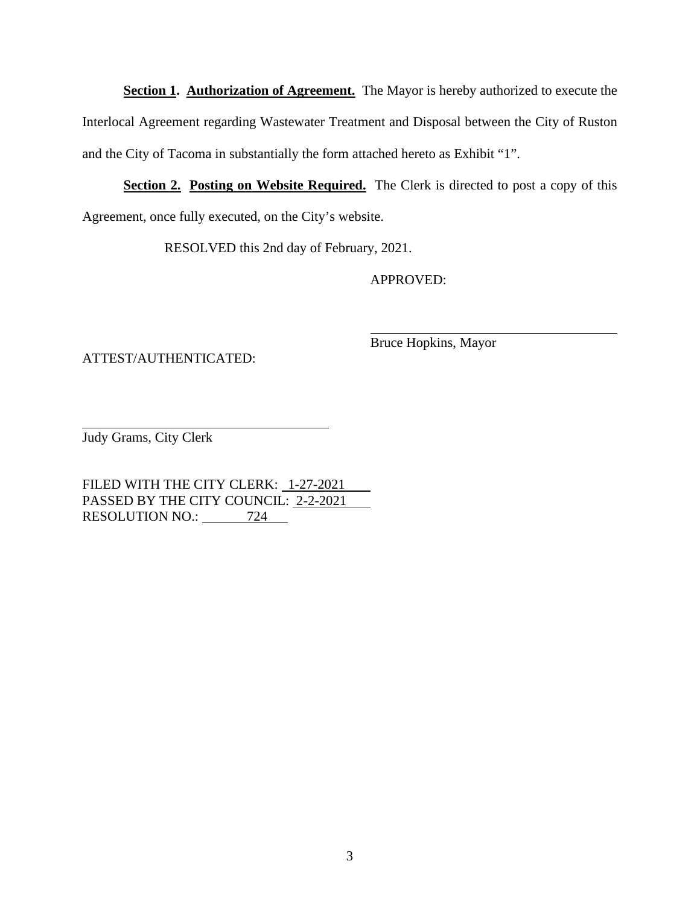**Section 1. Authorization of Agreement.** The Mayor is hereby authorized to execute the Interlocal Agreement regarding Wastewater Treatment and Disposal between the City of Ruston and the City of Tacoma in substantially the form attached hereto as Exhibit "1".

**<u>Section 2. Posting on Website Required.</u>** The Clerk is directed to post a copy of this Agreement, once fully executed, on the City's website.

RESOLVED this 2nd day of February, 2021.

APPROVED:

ATTEST/AUTHENTICATED:

Bruce Hopkins, Mayor

Judy Grams, City Clerk

FILED WITH THE CITY CLERK: 1-27-2021 PASSED BY THE CITY COUNCIL: 2-2-2021 RESOLUTION NO.: 724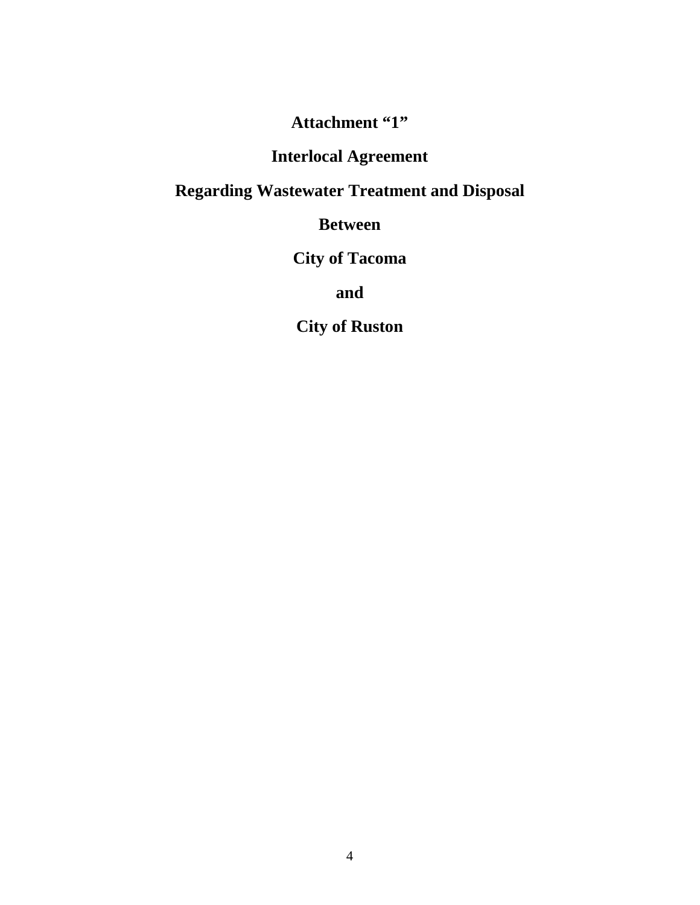**Attachment "1"**

# **Interlocal Agreement**

# **Regarding Wastewater Treatment and Disposal**

**Between**

**City of Tacoma**

**and**

**City of Ruston**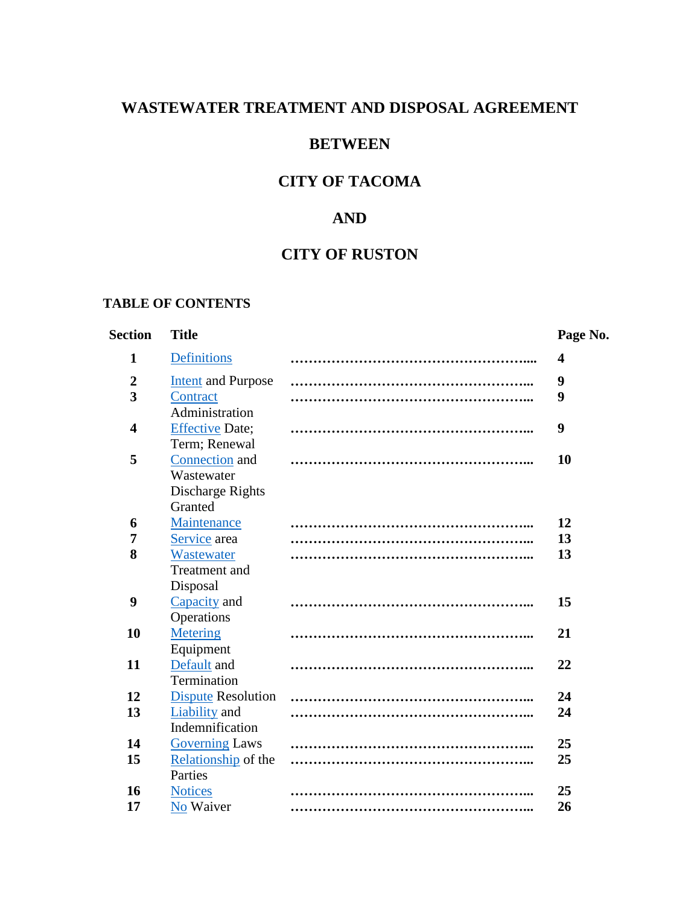#### **WASTEWATER TREATMENT AND DISPOSAL AGREEMENT**

#### **BETWEEN**

# **CITY OF TACOMA**

#### **AND**

#### **CITY OF RUSTON**

#### **TABLE OF CONTENTS**

#### **Section Title Page No. 1** [Definitions](#page-9-0) **…………………………………………….... 4 2** [Intent](#page-14-0) and Purpose **……………………………………………... 9 3** [Contract](#page-14-1) Administration **……………………………………………... 9 4** [Effective](#page-14-2) Date; Term; Renewal **……………………………………………... 9 5** [Connection](#page-15-0) and Wastewater Discharge Rights **Granted ……………………………………………... 10 6** [Maintenance](#page-17-0) **……………………………………………... 12 7** [Service](#page-18-0) area **……………………………………………... 13 8** [Wastewater](#page-18-1) Treatment and Disposal **……………………………………………... 13 9** [Capacity](#page-20-0) and **Operations ……………………………………………... 15 10** [Metering](#page-26-0) Equipment **……………………………………………... 21 11** [Default](#page-27-0) and **Termination ……………………………………………... 22 12** [Dispute](#page-29-0) Resolution **……………………………………………... 24 13** [Liability](#page-29-1) and Indemnification **……………………………………………... 24 14** [Governing](#page-30-0) Laws **……………………………………………... 25 15** [Relationship](#page-30-1) of the **Parties ……………………………………………... 25 16** [Notices](#page-30-2) **……………………………………………... 25 17** [No](#page-31-0) Waiver **……………………………………………... 26**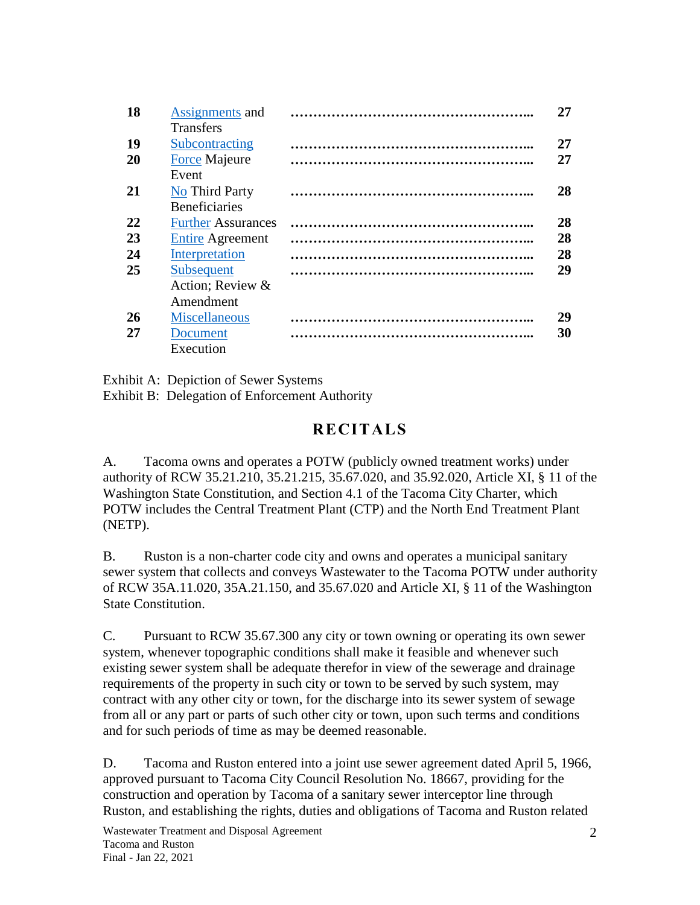| 18 | Assignments and           | 27 |
|----|---------------------------|----|
|    | <b>Transfers</b>          |    |
| 19 | Subcontracting            | 27 |
| 20 | <b>Force Majeure</b>      | 27 |
|    | Event                     |    |
| 21 | No Third Party            | 28 |
|    | <b>Beneficiaries</b>      |    |
| 22 | <b>Further Assurances</b> | 28 |
| 23 | <b>Entire Agreement</b>   | 28 |
| 24 | Interpretation            | 28 |
| 25 | Subsequent                | 29 |
|    | Action; Review &          |    |
|    | Amendment                 |    |
| 26 | <b>Miscellaneous</b>      | 29 |
| 27 | Document                  | 30 |
|    | Execution                 |    |

Exhibit A: Depiction of Sewer Systems

Exhibit B: Delegation of Enforcement Authority

# **RECITALS**

A. Tacoma owns and operates a POTW (publicly owned treatment works) under authority of RCW 35.21.210, 35.21.215, 35.67.020, and 35.92.020, Article XI, § 11 of the Washington State Constitution, and Section 4.1 of the Tacoma City Charter, which POTW includes the Central Treatment Plant (CTP) and the North End Treatment Plant (NETP).

B. Ruston is a non-charter code city and owns and operates a municipal sanitary sewer system that collects and conveys Wastewater to the Tacoma POTW under authority of RCW 35A.11.020, 35A.21.150, and 35.67.020 and Article XI, § 11 of the Washington State Constitution.

C. Pursuant to RCW 35.67.300 any city or town owning or operating its own sewer system, whenever topographic conditions shall make it feasible and whenever such existing sewer system shall be adequate therefor in view of the sewerage and drainage requirements of the property in such city or town to be served by such system, may contract with any other city or town, for the discharge into its sewer system of sewage from all or any part or parts of such other city or town, upon such terms and conditions and for such periods of time as may be deemed reasonable.

D. Tacoma and Ruston entered into a joint use sewer agreement dated April 5, 1966, approved pursuant to Tacoma City Council Resolution No. 18667, providing for the construction and operation by Tacoma of a sanitary sewer interceptor line through Ruston, and establishing the rights, duties and obligations of Tacoma and Ruston related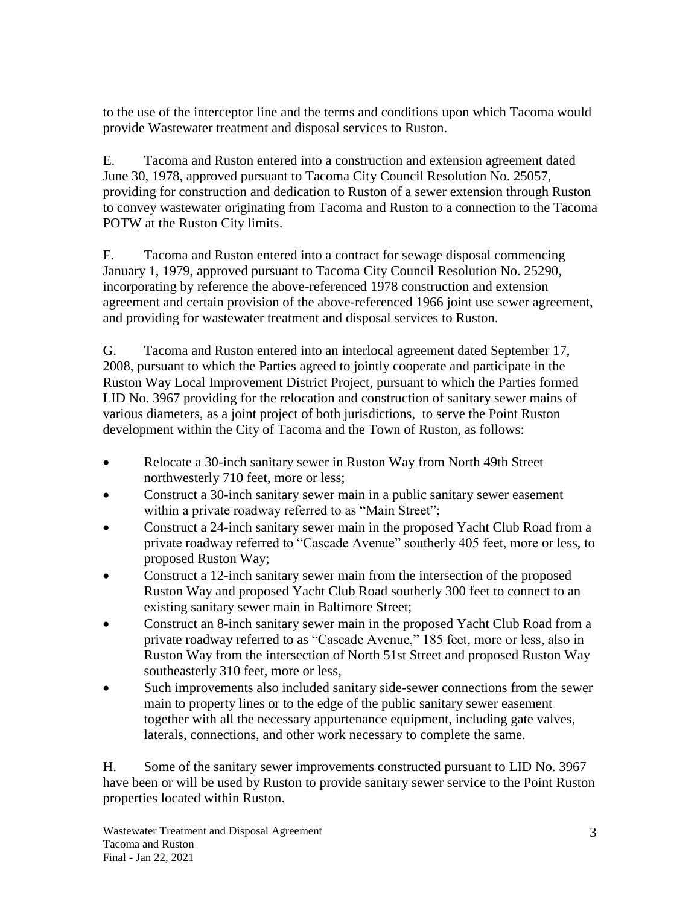to the use of the interceptor line and the terms and conditions upon which Tacoma would provide Wastewater treatment and disposal services to Ruston.

E. Tacoma and Ruston entered into a construction and extension agreement dated June 30, 1978, approved pursuant to Tacoma City Council Resolution No. 25057, providing for construction and dedication to Ruston of a sewer extension through Ruston to convey wastewater originating from Tacoma and Ruston to a connection to the Tacoma POTW at the Ruston City limits.

F. Tacoma and Ruston entered into a contract for sewage disposal commencing January 1, 1979, approved pursuant to Tacoma City Council Resolution No. 25290, incorporating by reference the above-referenced 1978 construction and extension agreement and certain provision of the above-referenced 1966 joint use sewer agreement, and providing for wastewater treatment and disposal services to Ruston.

G. Tacoma and Ruston entered into an interlocal agreement dated September 17, 2008, pursuant to which the Parties agreed to jointly cooperate and participate in the Ruston Way Local Improvement District Project, pursuant to which the Parties formed LID No. 3967 providing for the relocation and construction of sanitary sewer mains of various diameters, as a joint project of both jurisdictions, to serve the Point Ruston development within the City of Tacoma and the Town of Ruston, as follows:

- Relocate a 30-inch sanitary sewer in Ruston Way from North 49th Street northwesterly 710 feet, more or less;
- Construct a 30-inch sanitary sewer main in a public sanitary sewer easement within a private roadway referred to as "Main Street";
- Construct a 24-inch sanitary sewer main in the proposed Yacht Club Road from a private roadway referred to "Cascade Avenue" southerly 405 feet, more or less, to proposed Ruston Way;
- Construct a 12-inch sanitary sewer main from the intersection of the proposed Ruston Way and proposed Yacht Club Road southerly 300 feet to connect to an existing sanitary sewer main in Baltimore Street;
- Construct an 8-inch sanitary sewer main in the proposed Yacht Club Road from a private roadway referred to as "Cascade Avenue," 185 feet, more or less, also in Ruston Way from the intersection of North 51st Street and proposed Ruston Way southeasterly 310 feet, more or less,
- Such improvements also included sanitary side-sewer connections from the sewer main to property lines or to the edge of the public sanitary sewer easement together with all the necessary appurtenance equipment, including gate valves, laterals, connections, and other work necessary to complete the same.

H. Some of the sanitary sewer improvements constructed pursuant to LID No. 3967 have been or will be used by Ruston to provide sanitary sewer service to the Point Ruston properties located within Ruston.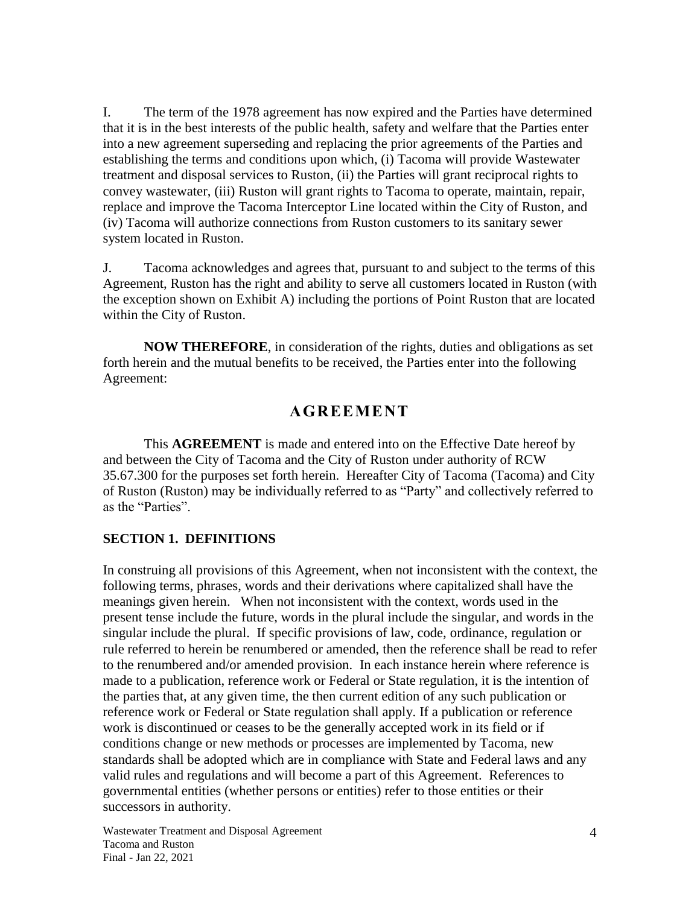I. The term of the 1978 agreement has now expired and the Parties have determined that it is in the best interests of the public health, safety and welfare that the Parties enter into a new agreement superseding and replacing the prior agreements of the Parties and establishing the terms and conditions upon which, (i) Tacoma will provide Wastewater treatment and disposal services to Ruston, (ii) the Parties will grant reciprocal rights to convey wastewater, (iii) Ruston will grant rights to Tacoma to operate, maintain, repair, replace and improve the Tacoma Interceptor Line located within the City of Ruston, and (iv) Tacoma will authorize connections from Ruston customers to its sanitary sewer system located in Ruston.

J. Tacoma acknowledges and agrees that, pursuant to and subject to the terms of this Agreement, Ruston has the right and ability to serve all customers located in Ruston (with the exception shown on Exhibit A) including the portions of Point Ruston that are located within the City of Ruston.

**NOW THEREFORE**, in consideration of the rights, duties and obligations as set forth herein and the mutual benefits to be received, the Parties enter into the following Agreement:

## **AGREEMENT**

This **AGREEMENT** is made and entered into on the Effective Date hereof by and between the City of Tacoma and the City of Ruston under authority of RCW 35.67.300 for the purposes set forth herein. Hereafter City of Tacoma (Tacoma) and City of Ruston (Ruston) may be individually referred to as "Party" and collectively referred to as the "Parties".

#### <span id="page-9-0"></span>**SECTION 1. DEFINITIONS**

In construing all provisions of this Agreement, when not inconsistent with the context, the following terms, phrases, words and their derivations where capitalized shall have the meanings given herein. When not inconsistent with the context, words used in the present tense include the future, words in the plural include the singular, and words in the singular include the plural. If specific provisions of law, code, ordinance, regulation or rule referred to herein be renumbered or amended, then the reference shall be read to refer to the renumbered and/or amended provision. In each instance herein where reference is made to a publication, reference work or Federal or State regulation, it is the intention of the parties that, at any given time, the then current edition of any such publication or reference work or Federal or State regulation shall apply. If a publication or reference work is discontinued or ceases to be the generally accepted work in its field or if conditions change or new methods or processes are implemented by Tacoma, new standards shall be adopted which are in compliance with State and Federal laws and any valid rules and regulations and will become a part of this Agreement. References to governmental entities (whether persons or entities) refer to those entities or their successors in authority.

Wastewater Treatment and Disposal Agreement Tacoma and Ruston Final - Jan 22, 2021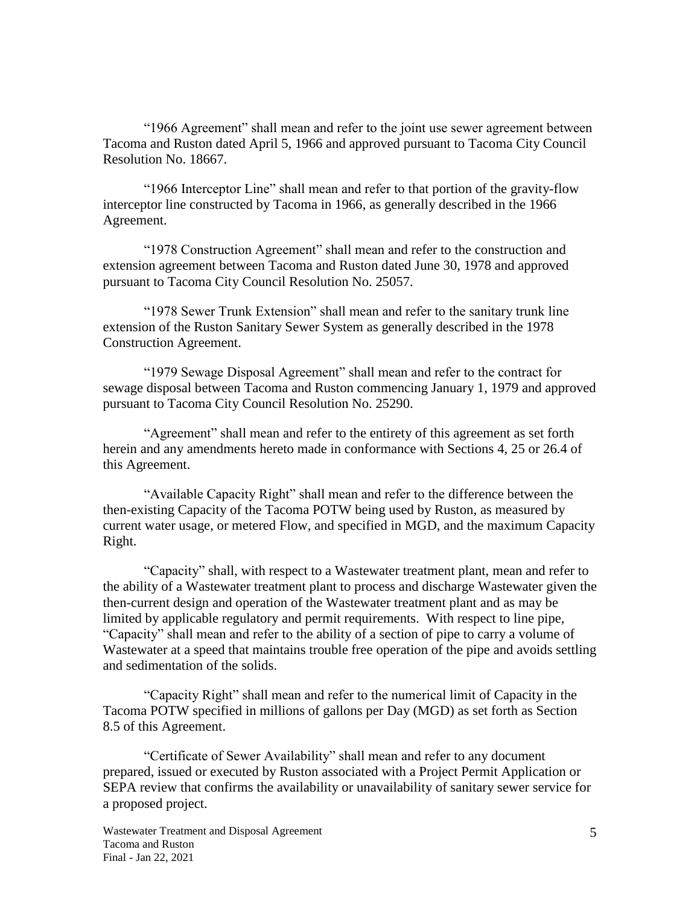"1966 Agreement" shall mean and refer to the joint use sewer agreement between Tacoma and Ruston dated April 5, 1966 and approved pursuant to Tacoma City Council Resolution No. 18667.

"1966 Interceptor Line" shall mean and refer to that portion of the gravity-flow interceptor line constructed by Tacoma in 1966, as generally described in the 1966 Agreement.

"1978 Construction Agreement" shall mean and refer to the construction and extension agreement between Tacoma and Ruston dated June 30, 1978 and approved pursuant to Tacoma City Council Resolution No. 25057.

"1978 Sewer Trunk Extension" shall mean and refer to the sanitary trunk line extension of the Ruston Sanitary Sewer System as generally described in the 1978 Construction Agreement.

"1979 Sewage Disposal Agreement" shall mean and refer to the contract for sewage disposal between Tacoma and Ruston commencing January 1, 1979 and approved pursuant to Tacoma City Council Resolution No. 25290.

"Agreement" shall mean and refer to the entirety of this agreement as set forth herein and any amendments hereto made in conformance with Sections 4, 25 or 26.4 of this Agreement.

"Available Capacity Right" shall mean and refer to the difference between the then-existing Capacity of the Tacoma POTW being used by Ruston, as measured by current water usage, or metered Flow, and specified in MGD, and the maximum Capacity Right.

"Capacity" shall, with respect to a Wastewater treatment plant, mean and refer to the ability of a Wastewater treatment plant to process and discharge Wastewater given the then-current design and operation of the Wastewater treatment plant and as may be limited by applicable regulatory and permit requirements. With respect to line pipe, "Capacity" shall mean and refer to the ability of a section of pipe to carry a volume of Wastewater at a speed that maintains trouble free operation of the pipe and avoids settling and sedimentation of the solids.

"Capacity Right" shall mean and refer to the numerical limit of Capacity in the Tacoma POTW specified in millions of gallons per Day (MGD) as set forth as Section 8.5 of this Agreement.

"Certificate of Sewer Availability" shall mean and refer to any document prepared, issued or executed by Ruston associated with a Project Permit Application or SEPA review that confirms the availability or unavailability of sanitary sewer service for a proposed project.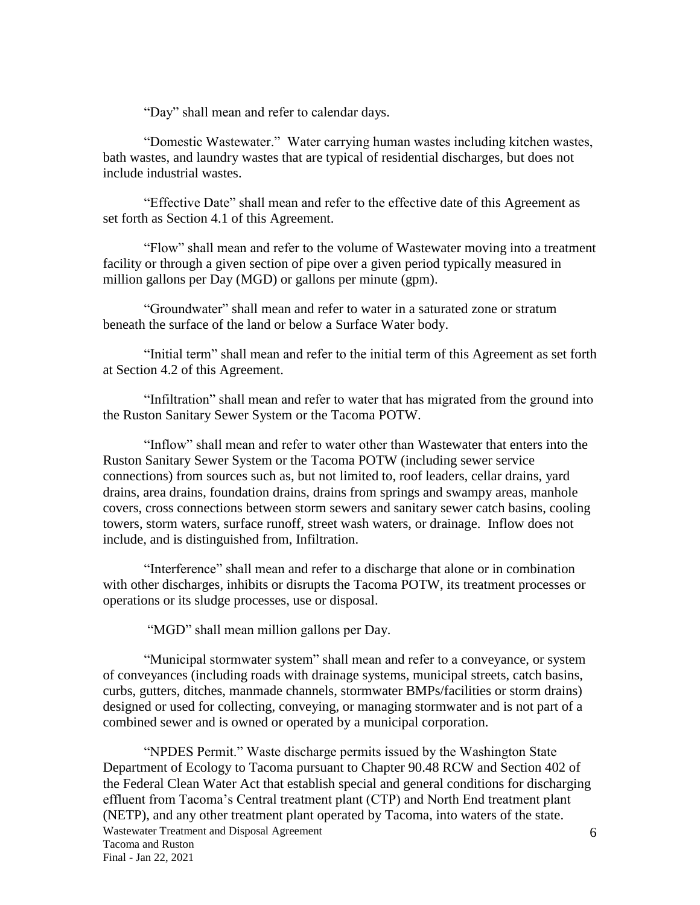"Day" shall mean and refer to calendar days.

"Domestic Wastewater." Water carrying human wastes including kitchen wastes, bath wastes, and laundry wastes that are typical of residential discharges, but does not include industrial wastes.

"Effective Date" shall mean and refer to the effective date of this Agreement as set forth as Section 4.1 of this Agreement.

"Flow" shall mean and refer to the volume of Wastewater moving into a treatment facility or through a given section of pipe over a given period typically measured in million gallons per Day (MGD) or gallons per minute (gpm).

"Groundwater" shall mean and refer to water in a saturated zone or stratum beneath the surface of the land or below a Surface Water body.

"Initial term" shall mean and refer to the initial term of this Agreement as set forth at Section 4.2 of this Agreement.

"Infiltration" shall mean and refer to water that has migrated from the ground into the Ruston Sanitary Sewer System or the Tacoma POTW.

"Inflow" shall mean and refer to water other than Wastewater that enters into the Ruston Sanitary Sewer System or the Tacoma POTW (including sewer service connections) from sources such as, but not limited to, roof leaders, cellar drains, yard drains, area drains, foundation drains, drains from springs and swampy areas, manhole covers, cross connections between storm sewers and sanitary sewer catch basins, cooling towers, storm waters, surface runoff, street wash waters, or drainage. Inflow does not include, and is distinguished from, Infiltration.

"Interference" shall mean and refer to a discharge that alone or in combination with other discharges, inhibits or disrupts the Tacoma POTW, its treatment processes or operations or its sludge processes, use or disposal.

"MGD" shall mean million gallons per Day.

"Municipal stormwater system" shall mean and refer to a conveyance, or system of conveyances (including roads with drainage systems, municipal streets, catch basins, curbs, gutters, ditches, manmade channels, stormwater BMPs/facilities or storm drains) designed or used for collecting, conveying, or managing stormwater and is not part of a combined sewer and is owned or operated by a municipal corporation.

Wastewater Treatment and Disposal Agreement Tacoma and Ruston Final - Jan 22, 2021 "NPDES Permit." Waste discharge permits issued by the Washington State Department of Ecology to Tacoma pursuant to Chapter 90.48 RCW and Section 402 of the Federal Clean Water Act that establish special and general conditions for discharging effluent from Tacoma's Central treatment plant (CTP) and North End treatment plant (NETP), and any other treatment plant operated by Tacoma, into waters of the state.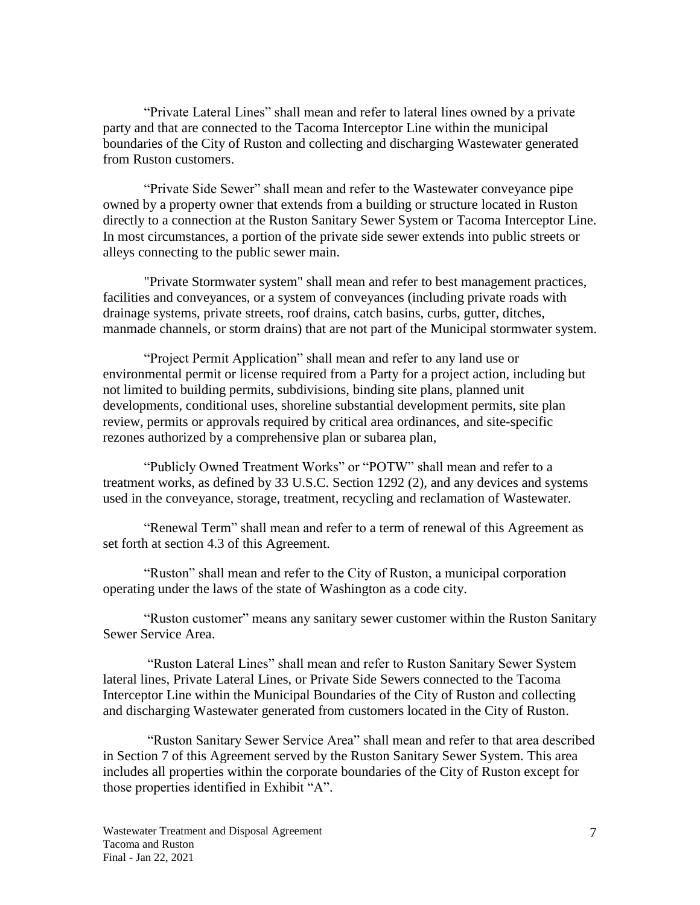"Private Lateral Lines" shall mean and refer to lateral lines owned by a private party and that are connected to the Tacoma Interceptor Line within the municipal boundaries of the City of Ruston and collecting and discharging Wastewater generated from Ruston customers.

"Private Side Sewer" shall mean and refer to the Wastewater conveyance pipe owned by a property owner that extends from a building or structure located in Ruston directly to a connection at the Ruston Sanitary Sewer System or Tacoma Interceptor Line. In most circumstances, a portion of the private side sewer extends into public streets or alleys connecting to the public sewer main.

"Private Stormwater system" shall mean and refer to best management practices, facilities and conveyances, or a system of conveyances (including private roads with drainage systems, private streets, roof drains, catch basins, curbs, gutter, ditches, manmade channels, or storm drains) that are not part of the Municipal stormwater system.

"Project Permit Application" shall mean and refer to any land use or environmental permit or license required from a Party for a project action, including but not limited to building permits, subdivisions, binding site plans, planned unit developments, conditional uses, shoreline substantial development permits, site plan review, permits or approvals required by critical area ordinances, and site-specific rezones authorized by a comprehensive plan or subarea plan,

"Publicly Owned Treatment Works" or "POTW" shall mean and refer to a treatment works, as defined by 33 U.S.C. Section 1292 (2), and any devices and systems used in the conveyance, storage, treatment, recycling and reclamation of Wastewater.

"Renewal Term" shall mean and refer to a term of renewal of this Agreement as set forth at section 4.3 of this Agreement.

"Ruston" shall mean and refer to the City of Ruston, a municipal corporation operating under the laws of the state of Washington as a code city.

"Ruston customer" means any sanitary sewer customer within the Ruston Sanitary Sewer Service Area.

"Ruston Lateral Lines" shall mean and refer to Ruston Sanitary Sewer System lateral lines, Private Lateral Lines, or Private Side Sewers connected to the Tacoma Interceptor Line within the Municipal Boundaries of the City of Ruston and collecting and discharging Wastewater generated from customers located in the City of Ruston.

"Ruston Sanitary Sewer Service Area" shall mean and refer to that area described in Section 7 of this Agreement served by the Ruston Sanitary Sewer System. This area includes all properties within the corporate boundaries of the City of Ruston except for those properties identified in Exhibit "A".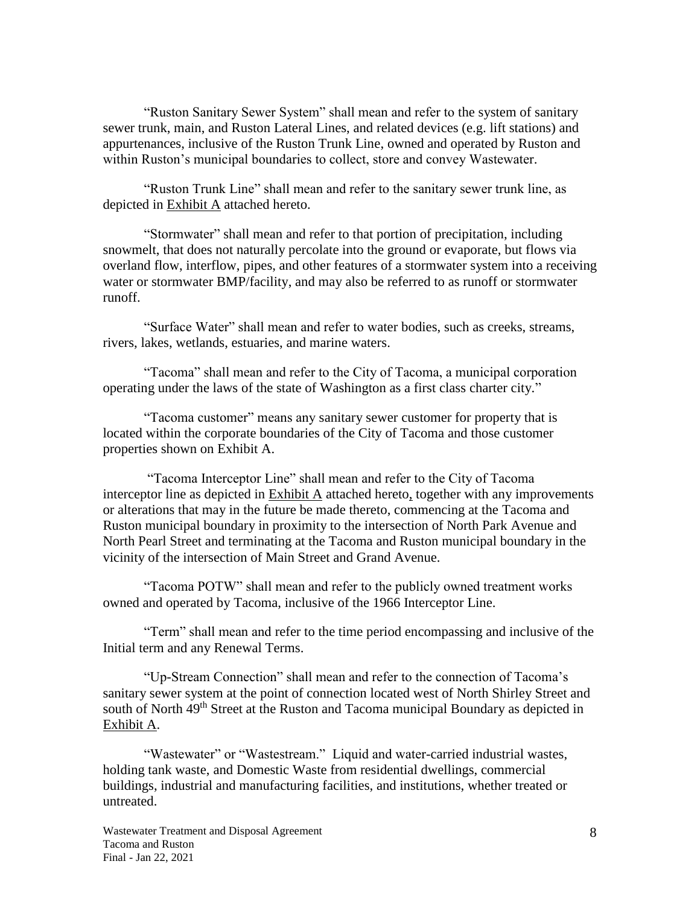"Ruston Sanitary Sewer System" shall mean and refer to the system of sanitary sewer trunk, main, and Ruston Lateral Lines, and related devices (e.g. lift stations) and appurtenances, inclusive of the Ruston Trunk Line, owned and operated by Ruston and within Ruston's municipal boundaries to collect, store and convey Wastewater.

"Ruston Trunk Line" shall mean and refer to the sanitary sewer trunk line, as depicted in Exhibit A attached hereto.

"Stormwater" shall mean and refer to that portion of precipitation, including snowmelt, that does not naturally percolate into the ground or evaporate, but flows via overland flow, interflow, pipes, and other features of a stormwater system into a receiving water or stormwater BMP/facility, and may also be referred to as runoff or stormwater runoff.

"Surface Water" shall mean and refer to water bodies, such as creeks, streams, rivers, lakes, wetlands, estuaries, and marine waters.

"Tacoma" shall mean and refer to the City of Tacoma, a municipal corporation operating under the laws of the state of Washington as a first class charter city."

"Tacoma customer" means any sanitary sewer customer for property that is located within the corporate boundaries of the City of Tacoma and those customer properties shown on Exhibit A.

"Tacoma Interceptor Line" shall mean and refer to the City of Tacoma interceptor line as depicted in Exhibit A attached hereto, together with any improvements or alterations that may in the future be made thereto, commencing at the Tacoma and Ruston municipal boundary in proximity to the intersection of North Park Avenue and North Pearl Street and terminating at the Tacoma and Ruston municipal boundary in the vicinity of the intersection of Main Street and Grand Avenue.

"Tacoma POTW" shall mean and refer to the publicly owned treatment works owned and operated by Tacoma, inclusive of the 1966 Interceptor Line.

"Term" shall mean and refer to the time period encompassing and inclusive of the Initial term and any Renewal Terms.

"Up-Stream Connection" shall mean and refer to the connection of Tacoma's sanitary sewer system at the point of connection located west of North Shirley Street and south of North 49<sup>th</sup> Street at the Ruston and Tacoma municipal Boundary as depicted in Exhibit A.

"Wastewater" or "Wastestream." Liquid and water-carried industrial wastes, holding tank waste, and Domestic Waste from residential dwellings, commercial buildings, industrial and manufacturing facilities, and institutions, whether treated or untreated.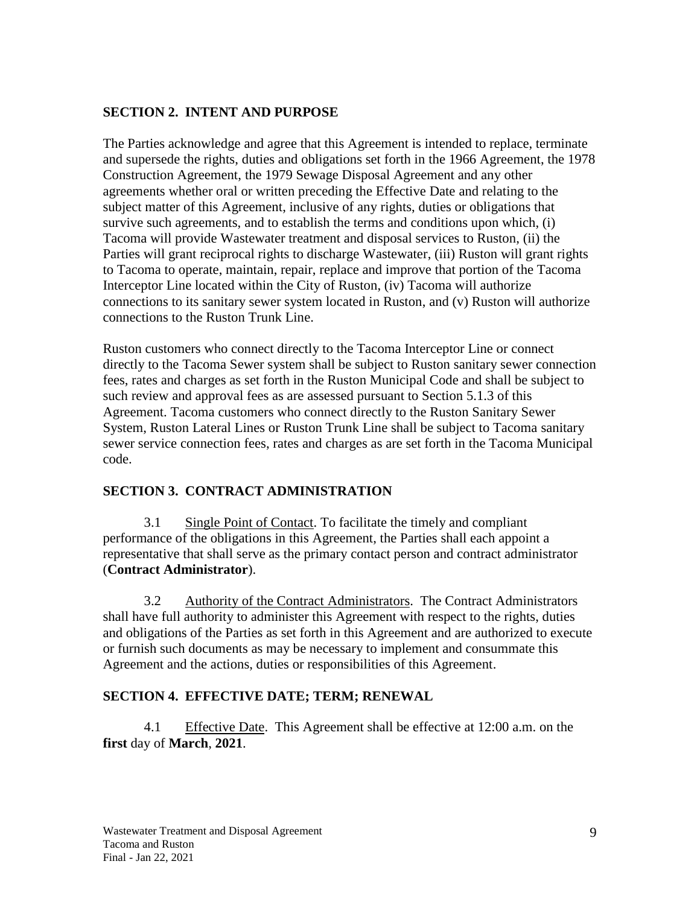#### <span id="page-14-0"></span>**SECTION 2. INTENT AND PURPOSE**

The Parties acknowledge and agree that this Agreement is intended to replace, terminate and supersede the rights, duties and obligations set forth in the 1966 Agreement, the 1978 Construction Agreement, the 1979 Sewage Disposal Agreement and any other agreements whether oral or written preceding the Effective Date and relating to the subject matter of this Agreement, inclusive of any rights, duties or obligations that survive such agreements, and to establish the terms and conditions upon which, (i) Tacoma will provide Wastewater treatment and disposal services to Ruston, (ii) the Parties will grant reciprocal rights to discharge Wastewater, (iii) Ruston will grant rights to Tacoma to operate, maintain, repair, replace and improve that portion of the Tacoma Interceptor Line located within the City of Ruston, (iv) Tacoma will authorize connections to its sanitary sewer system located in Ruston, and (v) Ruston will authorize connections to the Ruston Trunk Line.

Ruston customers who connect directly to the Tacoma Interceptor Line or connect directly to the Tacoma Sewer system shall be subject to Ruston sanitary sewer connection fees, rates and charges as set forth in the Ruston Municipal Code and shall be subject to such review and approval fees as are assessed pursuant to Section 5.1.3 of this Agreement. Tacoma customers who connect directly to the Ruston Sanitary Sewer System, Ruston Lateral Lines or Ruston Trunk Line shall be subject to Tacoma sanitary sewer service connection fees, rates and charges as are set forth in the Tacoma Municipal code.

## <span id="page-14-1"></span>**SECTION 3. CONTRACT ADMINISTRATION**

3.1 Single Point of Contact. To facilitate the timely and compliant performance of the obligations in this Agreement, the Parties shall each appoint a representative that shall serve as the primary contact person and contract administrator (**Contract Administrator**).

3.2 Authority of the Contract Administrators. The Contract Administrators shall have full authority to administer this Agreement with respect to the rights, duties and obligations of the Parties as set forth in this Agreement and are authorized to execute or furnish such documents as may be necessary to implement and consummate this Agreement and the actions, duties or responsibilities of this Agreement.

#### <span id="page-14-2"></span>**SECTION 4. EFFECTIVE DATE; TERM; RENEWAL**

4.1 Effective Date. This Agreement shall be effective at 12:00 a.m. on the **first** day of **March**, **2021**.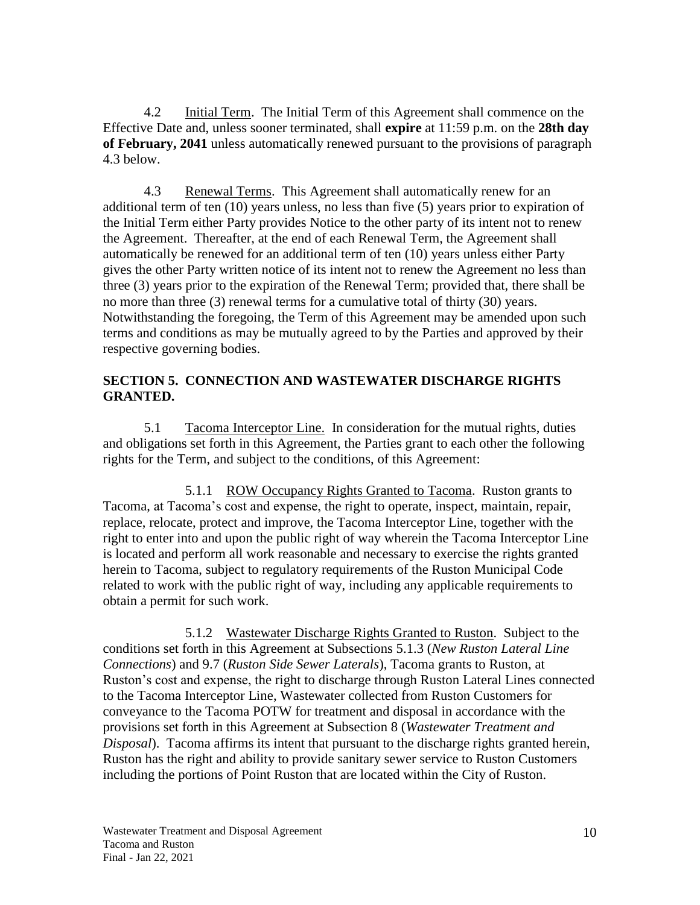4.2 Initial Term. The Initial Term of this Agreement shall commence on the Effective Date and, unless sooner terminated, shall **expire** at 11:59 p.m. on the **28th day of February, 2041** unless automatically renewed pursuant to the provisions of paragraph 4.3 below.

4.3 Renewal Terms. This Agreement shall automatically renew for an additional term of ten (10) years unless, no less than five (5) years prior to expiration of the Initial Term either Party provides Notice to the other party of its intent not to renew the Agreement. Thereafter, at the end of each Renewal Term, the Agreement shall automatically be renewed for an additional term of ten (10) years unless either Party gives the other Party written notice of its intent not to renew the Agreement no less than three (3) years prior to the expiration of the Renewal Term; provided that, there shall be no more than three (3) renewal terms for a cumulative total of thirty (30) years. Notwithstanding the foregoing, the Term of this Agreement may be amended upon such terms and conditions as may be mutually agreed to by the Parties and approved by their respective governing bodies.

#### <span id="page-15-0"></span>**SECTION 5. CONNECTION AND WASTEWATER DISCHARGE RIGHTS GRANTED.**

5.1 Tacoma Interceptor Line. In consideration for the mutual rights, duties and obligations set forth in this Agreement, the Parties grant to each other the following rights for the Term, and subject to the conditions, of this Agreement:

5.1.1 ROW Occupancy Rights Granted to Tacoma. Ruston grants to Tacoma, at Tacoma's cost and expense, the right to operate, inspect, maintain, repair, replace, relocate, protect and improve, the Tacoma Interceptor Line, together with the right to enter into and upon the public right of way wherein the Tacoma Interceptor Line is located and perform all work reasonable and necessary to exercise the rights granted herein to Tacoma, subject to regulatory requirements of the Ruston Municipal Code related to work with the public right of way, including any applicable requirements to obtain a permit for such work.

5.1.2 Wastewater Discharge Rights Granted to Ruston. Subject to the conditions set forth in this Agreement at Subsections 5.1.3 (*New Ruston Lateral Line Connections*) and 9.7 (*Ruston Side Sewer Laterals*), Tacoma grants to Ruston, at Ruston's cost and expense, the right to discharge through Ruston Lateral Lines connected to the Tacoma Interceptor Line, Wastewater collected from Ruston Customers for conveyance to the Tacoma POTW for treatment and disposal in accordance with the provisions set forth in this Agreement at Subsection 8 (*Wastewater Treatment and Disposal*). Tacoma affirms its intent that pursuant to the discharge rights granted herein, Ruston has the right and ability to provide sanitary sewer service to Ruston Customers including the portions of Point Ruston that are located within the City of Ruston.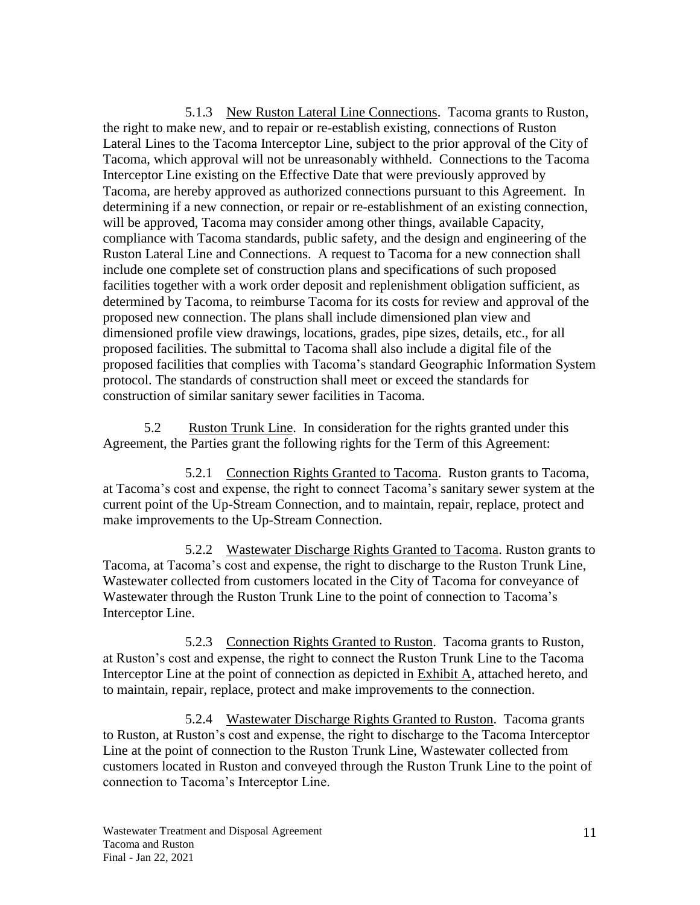5.1.3 New Ruston Lateral Line Connections. Tacoma grants to Ruston, the right to make new, and to repair or re-establish existing, connections of Ruston Lateral Lines to the Tacoma Interceptor Line, subject to the prior approval of the City of Tacoma, which approval will not be unreasonably withheld. Connections to the Tacoma Interceptor Line existing on the Effective Date that were previously approved by Tacoma, are hereby approved as authorized connections pursuant to this Agreement. In determining if a new connection, or repair or re-establishment of an existing connection, will be approved, Tacoma may consider among other things, available Capacity, compliance with Tacoma standards, public safety, and the design and engineering of the Ruston Lateral Line and Connections. A request to Tacoma for a new connection shall include one complete set of construction plans and specifications of such proposed facilities together with a work order deposit and replenishment obligation sufficient, as determined by Tacoma, to reimburse Tacoma for its costs for review and approval of the proposed new connection. The plans shall include dimensioned plan view and dimensioned profile view drawings, locations, grades, pipe sizes, details, etc., for all proposed facilities. The submittal to Tacoma shall also include a digital file of the proposed facilities that complies with Tacoma's standard Geographic Information System protocol. The standards of construction shall meet or exceed the standards for construction of similar sanitary sewer facilities in Tacoma.

5.2 Ruston Trunk Line. In consideration for the rights granted under this Agreement, the Parties grant the following rights for the Term of this Agreement:

5.2.1 Connection Rights Granted to Tacoma. Ruston grants to Tacoma, at Tacoma's cost and expense, the right to connect Tacoma's sanitary sewer system at the current point of the Up-Stream Connection, and to maintain, repair, replace, protect and make improvements to the Up-Stream Connection.

5.2.2 Wastewater Discharge Rights Granted to Tacoma. Ruston grants to Tacoma, at Tacoma's cost and expense, the right to discharge to the Ruston Trunk Line, Wastewater collected from customers located in the City of Tacoma for conveyance of Wastewater through the Ruston Trunk Line to the point of connection to Tacoma's Interceptor Line.

5.2.3 Connection Rights Granted to Ruston. Tacoma grants to Ruston, at Ruston's cost and expense, the right to connect the Ruston Trunk Line to the Tacoma Interceptor Line at the point of connection as depicted in Exhibit A, attached hereto, and to maintain, repair, replace, protect and make improvements to the connection.

5.2.4 Wastewater Discharge Rights Granted to Ruston. Tacoma grants to Ruston, at Ruston's cost and expense, the right to discharge to the Tacoma Interceptor Line at the point of connection to the Ruston Trunk Line, Wastewater collected from customers located in Ruston and conveyed through the Ruston Trunk Line to the point of connection to Tacoma's Interceptor Line.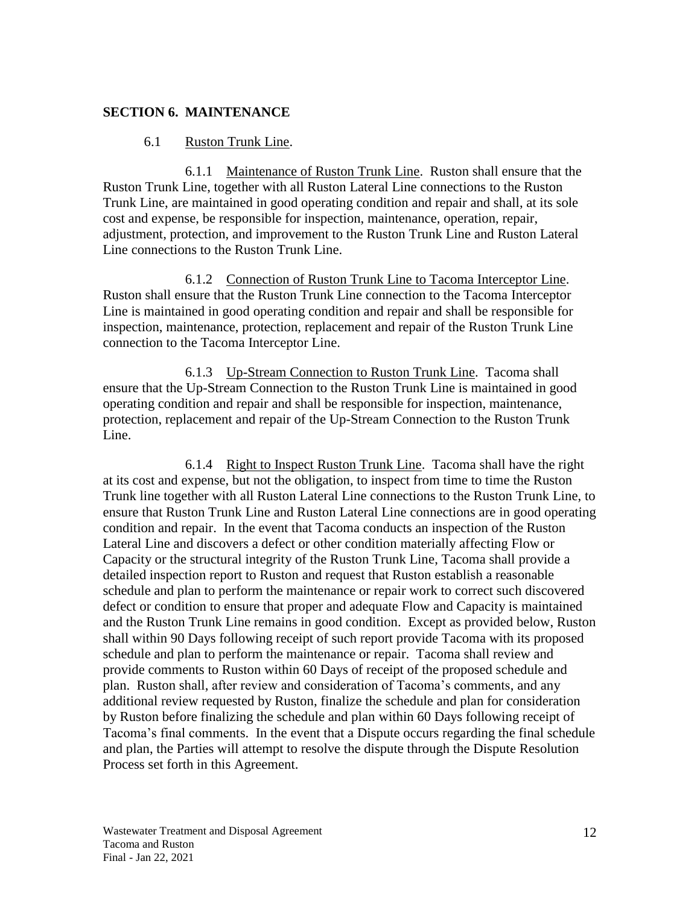#### **SECTION 6. MAINTENANCE**

#### <span id="page-17-0"></span>6.1 Ruston Trunk Line.

6.1.1 Maintenance of Ruston Trunk Line. Ruston shall ensure that the Ruston Trunk Line, together with all Ruston Lateral Line connections to the Ruston Trunk Line, are maintained in good operating condition and repair and shall, at its sole cost and expense, be responsible for inspection, maintenance, operation, repair, adjustment, protection, and improvement to the Ruston Trunk Line and Ruston Lateral Line connections to the Ruston Trunk Line.

6.1.2 Connection of Ruston Trunk Line to Tacoma Interceptor Line. Ruston shall ensure that the Ruston Trunk Line connection to the Tacoma Interceptor Line is maintained in good operating condition and repair and shall be responsible for inspection, maintenance, protection, replacement and repair of the Ruston Trunk Line connection to the Tacoma Interceptor Line.

6.1.3 Up-Stream Connection to Ruston Trunk Line. Tacoma shall ensure that the Up-Stream Connection to the Ruston Trunk Line is maintained in good operating condition and repair and shall be responsible for inspection, maintenance, protection, replacement and repair of the Up-Stream Connection to the Ruston Trunk Line.

6.1.4 Right to Inspect Ruston Trunk Line. Tacoma shall have the right at its cost and expense, but not the obligation, to inspect from time to time the Ruston Trunk line together with all Ruston Lateral Line connections to the Ruston Trunk Line, to ensure that Ruston Trunk Line and Ruston Lateral Line connections are in good operating condition and repair. In the event that Tacoma conducts an inspection of the Ruston Lateral Line and discovers a defect or other condition materially affecting Flow or Capacity or the structural integrity of the Ruston Trunk Line, Tacoma shall provide a detailed inspection report to Ruston and request that Ruston establish a reasonable schedule and plan to perform the maintenance or repair work to correct such discovered defect or condition to ensure that proper and adequate Flow and Capacity is maintained and the Ruston Trunk Line remains in good condition. Except as provided below, Ruston shall within 90 Days following receipt of such report provide Tacoma with its proposed schedule and plan to perform the maintenance or repair. Tacoma shall review and provide comments to Ruston within 60 Days of receipt of the proposed schedule and plan. Ruston shall, after review and consideration of Tacoma's comments, and any additional review requested by Ruston, finalize the schedule and plan for consideration by Ruston before finalizing the schedule and plan within 60 Days following receipt of Tacoma's final comments. In the event that a Dispute occurs regarding the final schedule and plan, the Parties will attempt to resolve the dispute through the Dispute Resolution Process set forth in this Agreement.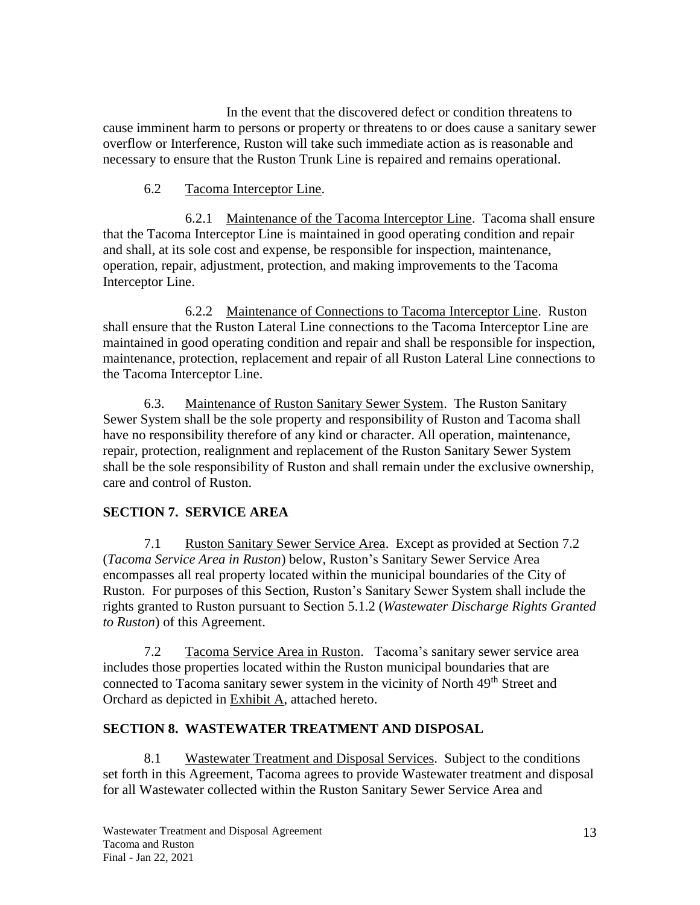In the event that the discovered defect or condition threatens to cause imminent harm to persons or property or threatens to or does cause a sanitary sewer overflow or Interference, Ruston will take such immediate action as is reasonable and necessary to ensure that the Ruston Trunk Line is repaired and remains operational.

#### 6.2 Tacoma Interceptor Line.

6.2.1 Maintenance of the Tacoma Interceptor Line. Tacoma shall ensure that the Tacoma Interceptor Line is maintained in good operating condition and repair and shall, at its sole cost and expense, be responsible for inspection, maintenance, operation, repair, adjustment, protection, and making improvements to the Tacoma Interceptor Line.

6.2.2 Maintenance of Connections to Tacoma Interceptor Line. Ruston shall ensure that the Ruston Lateral Line connections to the Tacoma Interceptor Line are maintained in good operating condition and repair and shall be responsible for inspection, maintenance, protection, replacement and repair of all Ruston Lateral Line connections to the Tacoma Interceptor Line.

6.3. Maintenance of Ruston Sanitary Sewer System. The Ruston Sanitary Sewer System shall be the sole property and responsibility of Ruston and Tacoma shall have no responsibility therefore of any kind or character. All operation, maintenance, repair, protection, realignment and replacement of the Ruston Sanitary Sewer System shall be the sole responsibility of Ruston and shall remain under the exclusive ownership, care and control of Ruston.

## <span id="page-18-0"></span>**SECTION 7. SERVICE AREA**

7.1 Ruston Sanitary Sewer Service Area. Except as provided at Section 7.2 (*Tacoma Service Area in Ruston*) below, Ruston's Sanitary Sewer Service Area encompasses all real property located within the municipal boundaries of the City of Ruston. For purposes of this Section, Ruston's Sanitary Sewer System shall include the rights granted to Ruston pursuant to Section 5.1.2 (*Wastewater Discharge Rights Granted to Ruston*) of this Agreement.

7.2 Tacoma Service Area in Ruston. Tacoma's sanitary sewer service area includes those properties located within the Ruston municipal boundaries that are connected to Tacoma sanitary sewer system in the vicinity of North 49<sup>th</sup> Street and Orchard as depicted in Exhibit A, attached hereto.

## <span id="page-18-1"></span>**SECTION 8. WASTEWATER TREATMENT AND DISPOSAL**

8.1 Wastewater Treatment and Disposal Services. Subject to the conditions set forth in this Agreement, Tacoma agrees to provide Wastewater treatment and disposal for all Wastewater collected within the Ruston Sanitary Sewer Service Area and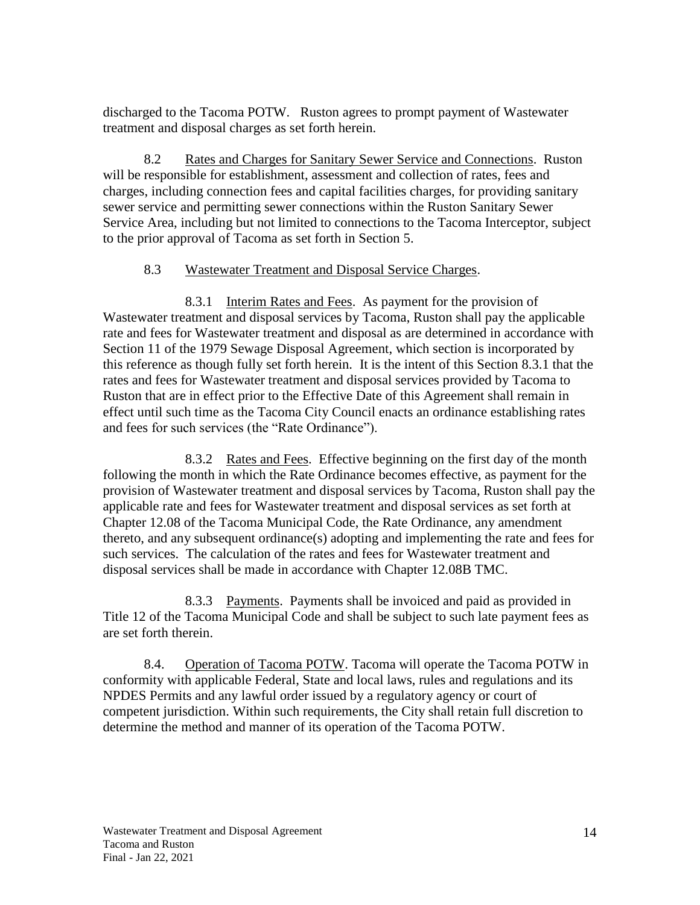discharged to the Tacoma POTW. Ruston agrees to prompt payment of Wastewater treatment and disposal charges as set forth herein.

8.2 Rates and Charges for Sanitary Sewer Service and Connections. Ruston will be responsible for establishment, assessment and collection of rates, fees and charges, including connection fees and capital facilities charges, for providing sanitary sewer service and permitting sewer connections within the Ruston Sanitary Sewer Service Area, including but not limited to connections to the Tacoma Interceptor, subject to the prior approval of Tacoma as set forth in Section 5.

#### 8.3 Wastewater Treatment and Disposal Service Charges.

8.3.1 Interim Rates and Fees. As payment for the provision of Wastewater treatment and disposal services by Tacoma, Ruston shall pay the applicable rate and fees for Wastewater treatment and disposal as are determined in accordance with Section 11 of the 1979 Sewage Disposal Agreement, which section is incorporated by this reference as though fully set forth herein. It is the intent of this Section 8.3.1 that the rates and fees for Wastewater treatment and disposal services provided by Tacoma to Ruston that are in effect prior to the Effective Date of this Agreement shall remain in effect until such time as the Tacoma City Council enacts an ordinance establishing rates and fees for such services (the "Rate Ordinance").

8.3.2 Rates and Fees. Effective beginning on the first day of the month following the month in which the Rate Ordinance becomes effective, as payment for the provision of Wastewater treatment and disposal services by Tacoma, Ruston shall pay the applicable rate and fees for Wastewater treatment and disposal services as set forth at Chapter 12.08 of the Tacoma Municipal Code, the Rate Ordinance, any amendment thereto, and any subsequent ordinance(s) adopting and implementing the rate and fees for such services. The calculation of the rates and fees for Wastewater treatment and disposal services shall be made in accordance with Chapter 12.08B TMC.

8.3.3 Payments. Payments shall be invoiced and paid as provided in Title 12 of the Tacoma Municipal Code and shall be subject to such late payment fees as are set forth therein.

8.4. Operation of Tacoma POTW. Tacoma will operate the Tacoma POTW in conformity with applicable Federal, State and local laws, rules and regulations and its NPDES Permits and any lawful order issued by a regulatory agency or court of competent jurisdiction. Within such requirements, the City shall retain full discretion to determine the method and manner of its operation of the Tacoma POTW.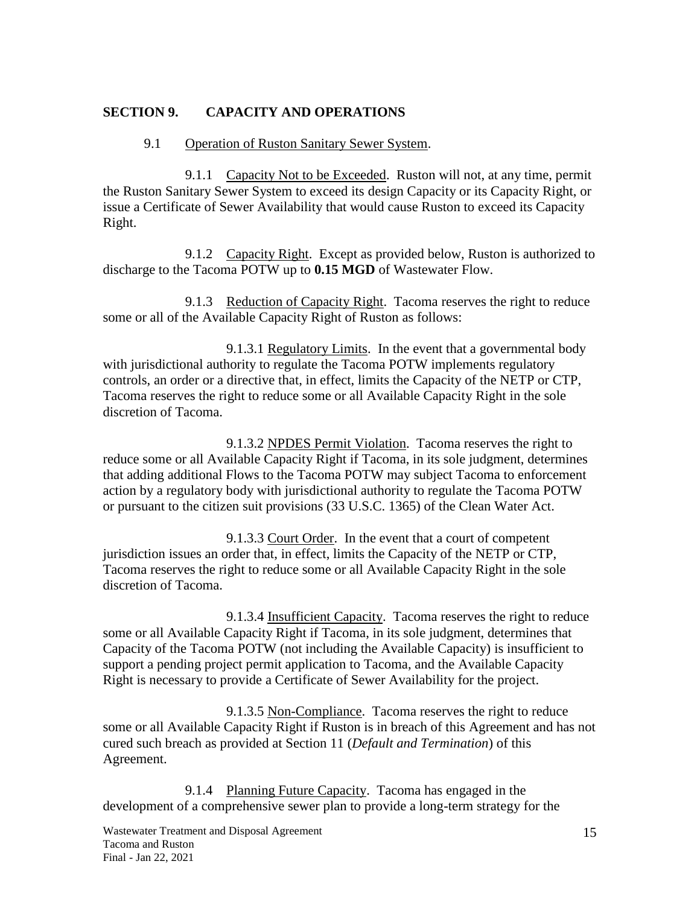#### **SECTION 9. CAPACITY AND OPERATIONS**

#### <span id="page-20-0"></span>9.1 Operation of Ruston Sanitary Sewer System.

9.1.1 Capacity Not to be Exceeded. Ruston will not, at any time, permit the Ruston Sanitary Sewer System to exceed its design Capacity or its Capacity Right, or issue a Certificate of Sewer Availability that would cause Ruston to exceed its Capacity Right.

9.1.2 Capacity Right. Except as provided below, Ruston is authorized to discharge to the Tacoma POTW up to **0.15 MGD** of Wastewater Flow.

9.1.3 Reduction of Capacity Right. Tacoma reserves the right to reduce some or all of the Available Capacity Right of Ruston as follows:

9.1.3.1 Regulatory Limits. In the event that a governmental body with jurisdictional authority to regulate the Tacoma POTW implements regulatory controls, an order or a directive that, in effect, limits the Capacity of the NETP or CTP, Tacoma reserves the right to reduce some or all Available Capacity Right in the sole discretion of Tacoma.

9.1.3.2 NPDES Permit Violation. Tacoma reserves the right to reduce some or all Available Capacity Right if Tacoma, in its sole judgment, determines that adding additional Flows to the Tacoma POTW may subject Tacoma to enforcement action by a regulatory body with jurisdictional authority to regulate the Tacoma POTW or pursuant to the citizen suit provisions (33 U.S.C. 1365) of the Clean Water Act.

9.1.3.3 Court Order. In the event that a court of competent jurisdiction issues an order that, in effect, limits the Capacity of the NETP or CTP, Tacoma reserves the right to reduce some or all Available Capacity Right in the sole discretion of Tacoma.

9.1.3.4 Insufficient Capacity. Tacoma reserves the right to reduce some or all Available Capacity Right if Tacoma, in its sole judgment, determines that Capacity of the Tacoma POTW (not including the Available Capacity) is insufficient to support a pending project permit application to Tacoma, and the Available Capacity Right is necessary to provide a Certificate of Sewer Availability for the project.

9.1.3.5 Non-Compliance. Tacoma reserves the right to reduce some or all Available Capacity Right if Ruston is in breach of this Agreement and has not cured such breach as provided at Section 11 (*Default and Termination*) of this Agreement.

9.1.4 Planning Future Capacity. Tacoma has engaged in the development of a comprehensive sewer plan to provide a long-term strategy for the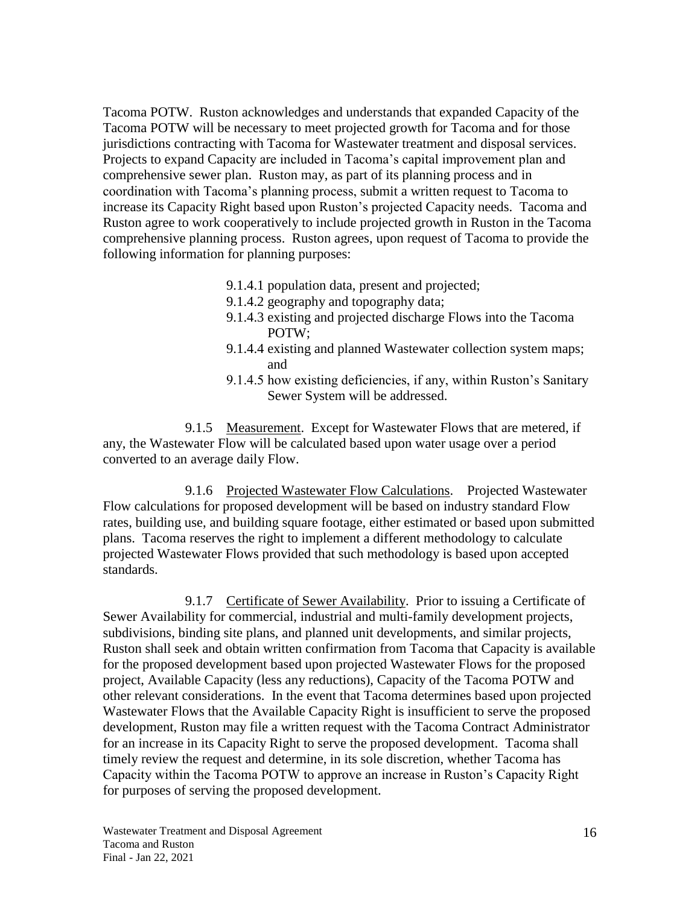Tacoma POTW. Ruston acknowledges and understands that expanded Capacity of the Tacoma POTW will be necessary to meet projected growth for Tacoma and for those jurisdictions contracting with Tacoma for Wastewater treatment and disposal services. Projects to expand Capacity are included in Tacoma's capital improvement plan and comprehensive sewer plan. Ruston may, as part of its planning process and in coordination with Tacoma's planning process, submit a written request to Tacoma to increase its Capacity Right based upon Ruston's projected Capacity needs. Tacoma and Ruston agree to work cooperatively to include projected growth in Ruston in the Tacoma comprehensive planning process. Ruston agrees, upon request of Tacoma to provide the following information for planning purposes:

- 9.1.4.1 population data, present and projected;
- 9.1.4.2 geography and topography data;
- 9.1.4.3 existing and projected discharge Flows into the Tacoma POTW;
- 9.1.4.4 existing and planned Wastewater collection system maps; and
- 9.1.4.5 how existing deficiencies, if any, within Ruston's Sanitary Sewer System will be addressed.

9.1.5 Measurement. Except for Wastewater Flows that are metered, if any, the Wastewater Flow will be calculated based upon water usage over a period converted to an average daily Flow.

9.1.6 Projected Wastewater Flow Calculations. Projected Wastewater Flow calculations for proposed development will be based on industry standard Flow rates, building use, and building square footage, either estimated or based upon submitted plans. Tacoma reserves the right to implement a different methodology to calculate projected Wastewater Flows provided that such methodology is based upon accepted standards.

9.1.7 Certificate of Sewer Availability. Prior to issuing a Certificate of Sewer Availability for commercial, industrial and multi-family development projects, subdivisions, binding site plans, and planned unit developments, and similar projects, Ruston shall seek and obtain written confirmation from Tacoma that Capacity is available for the proposed development based upon projected Wastewater Flows for the proposed project, Available Capacity (less any reductions), Capacity of the Tacoma POTW and other relevant considerations. In the event that Tacoma determines based upon projected Wastewater Flows that the Available Capacity Right is insufficient to serve the proposed development, Ruston may file a written request with the Tacoma Contract Administrator for an increase in its Capacity Right to serve the proposed development. Tacoma shall timely review the request and determine, in its sole discretion, whether Tacoma has Capacity within the Tacoma POTW to approve an increase in Ruston's Capacity Right for purposes of serving the proposed development.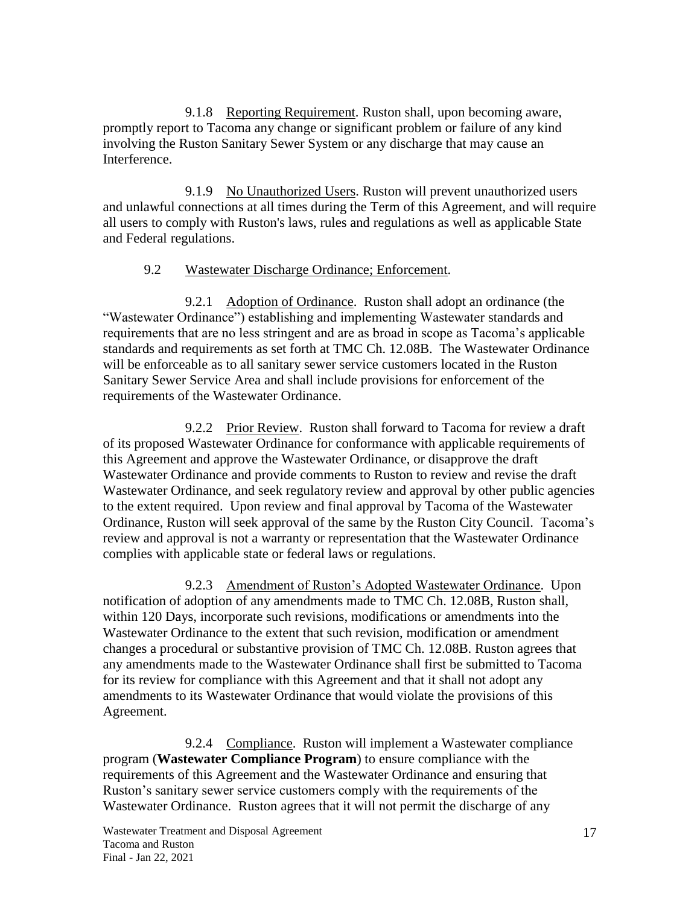9.1.8 Reporting Requirement. Ruston shall, upon becoming aware, promptly report to Tacoma any change or significant problem or failure of any kind involving the Ruston Sanitary Sewer System or any discharge that may cause an Interference.

9.1.9 No Unauthorized Users. Ruston will prevent unauthorized users and unlawful connections at all times during the Term of this Agreement, and will require all users to comply with Ruston's laws, rules and regulations as well as applicable State and Federal regulations.

#### 9.2 Wastewater Discharge Ordinance; Enforcement.

9.2.1 Adoption of Ordinance. Ruston shall adopt an ordinance (the "Wastewater Ordinance") establishing and implementing Wastewater standards and requirements that are no less stringent and are as broad in scope as Tacoma's applicable standards and requirements as set forth at TMC Ch. 12.08B. The Wastewater Ordinance will be enforceable as to all sanitary sewer service customers located in the Ruston Sanitary Sewer Service Area and shall include provisions for enforcement of the requirements of the Wastewater Ordinance.

9.2.2 Prior Review. Ruston shall forward to Tacoma for review a draft of its proposed Wastewater Ordinance for conformance with applicable requirements of this Agreement and approve the Wastewater Ordinance, or disapprove the draft Wastewater Ordinance and provide comments to Ruston to review and revise the draft Wastewater Ordinance, and seek regulatory review and approval by other public agencies to the extent required. Upon review and final approval by Tacoma of the Wastewater Ordinance, Ruston will seek approval of the same by the Ruston City Council. Tacoma's review and approval is not a warranty or representation that the Wastewater Ordinance complies with applicable state or federal laws or regulations.

9.2.3 Amendment of Ruston's Adopted Wastewater Ordinance. Upon notification of adoption of any amendments made to TMC Ch. 12.08B, Ruston shall, within 120 Days, incorporate such revisions, modifications or amendments into the Wastewater Ordinance to the extent that such revision, modification or amendment changes a procedural or substantive provision of TMC Ch. 12.08B. Ruston agrees that any amendments made to the Wastewater Ordinance shall first be submitted to Tacoma for its review for compliance with this Agreement and that it shall not adopt any amendments to its Wastewater Ordinance that would violate the provisions of this Agreement.

9.2.4 Compliance. Ruston will implement a Wastewater compliance program (**Wastewater Compliance Program**) to ensure compliance with the requirements of this Agreement and the Wastewater Ordinance and ensuring that Ruston's sanitary sewer service customers comply with the requirements of the Wastewater Ordinance. Ruston agrees that it will not permit the discharge of any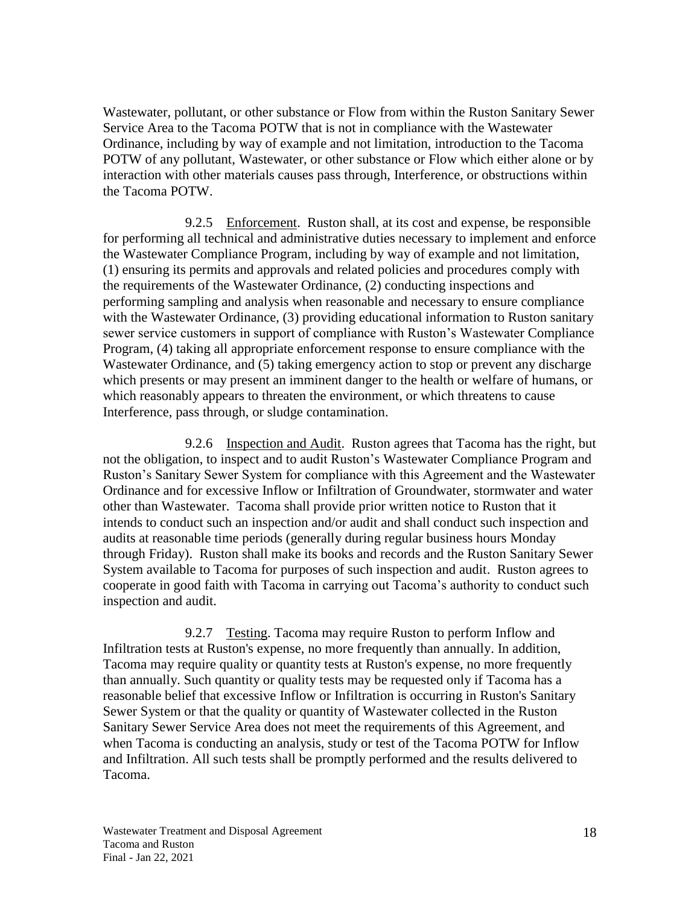Wastewater, pollutant, or other substance or Flow from within the Ruston Sanitary Sewer Service Area to the Tacoma POTW that is not in compliance with the Wastewater Ordinance, including by way of example and not limitation, introduction to the Tacoma POTW of any pollutant, Wastewater, or other substance or Flow which either alone or by interaction with other materials causes pass through, Interference, or obstructions within the Tacoma POTW.

9.2.5 Enforcement. Ruston shall, at its cost and expense, be responsible for performing all technical and administrative duties necessary to implement and enforce the Wastewater Compliance Program, including by way of example and not limitation, (1) ensuring its permits and approvals and related policies and procedures comply with the requirements of the Wastewater Ordinance, (2) conducting inspections and performing sampling and analysis when reasonable and necessary to ensure compliance with the Wastewater Ordinance, (3) providing educational information to Ruston sanitary sewer service customers in support of compliance with Ruston's Wastewater Compliance Program, (4) taking all appropriate enforcement response to ensure compliance with the Wastewater Ordinance, and (5) taking emergency action to stop or prevent any discharge which presents or may present an imminent danger to the health or welfare of humans, or which reasonably appears to threaten the environment, or which threatens to cause Interference, pass through, or sludge contamination.

9.2.6 Inspection and Audit. Ruston agrees that Tacoma has the right, but not the obligation, to inspect and to audit Ruston's Wastewater Compliance Program and Ruston's Sanitary Sewer System for compliance with this Agreement and the Wastewater Ordinance and for excessive Inflow or Infiltration of Groundwater, stormwater and water other than Wastewater. Tacoma shall provide prior written notice to Ruston that it intends to conduct such an inspection and/or audit and shall conduct such inspection and audits at reasonable time periods (generally during regular business hours Monday through Friday). Ruston shall make its books and records and the Ruston Sanitary Sewer System available to Tacoma for purposes of such inspection and audit. Ruston agrees to cooperate in good faith with Tacoma in carrying out Tacoma's authority to conduct such inspection and audit.

9.2.7 Testing. Tacoma may require Ruston to perform Inflow and Infiltration tests at Ruston's expense, no more frequently than annually. In addition, Tacoma may require quality or quantity tests at Ruston's expense, no more frequently than annually. Such quantity or quality tests may be requested only if Tacoma has a reasonable belief that excessive Inflow or Infiltration is occurring in Ruston's Sanitary Sewer System or that the quality or quantity of Wastewater collected in the Ruston Sanitary Sewer Service Area does not meet the requirements of this Agreement, and when Tacoma is conducting an analysis, study or test of the Tacoma POTW for Inflow and Infiltration. All such tests shall be promptly performed and the results delivered to Tacoma.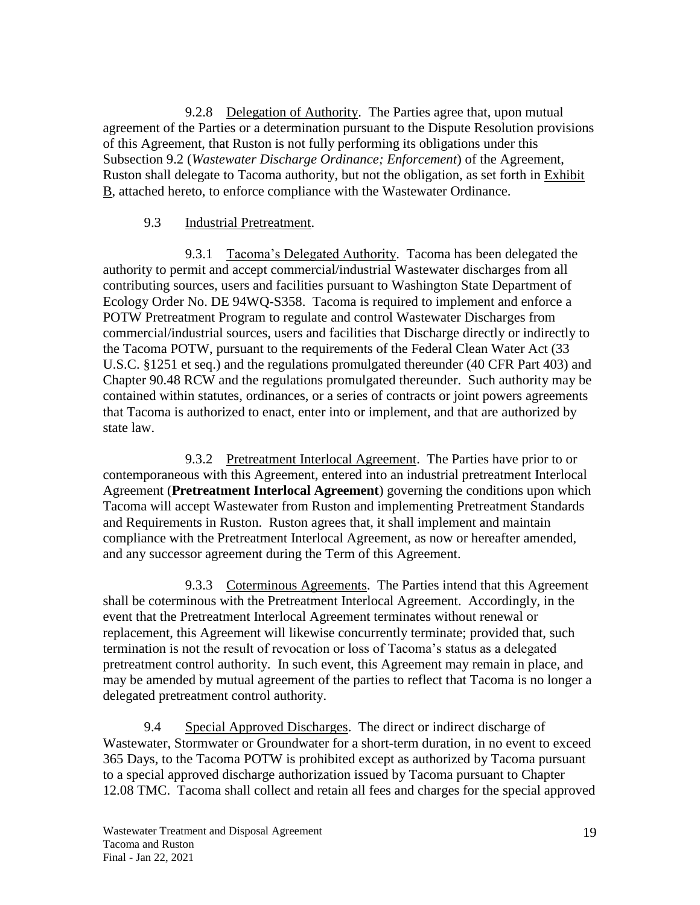9.2.8 Delegation of Authority. The Parties agree that, upon mutual agreement of the Parties or a determination pursuant to the Dispute Resolution provisions of this Agreement, that Ruston is not fully performing its obligations under this Subsection 9.2 (*Wastewater Discharge Ordinance; Enforcement*) of the Agreement, Ruston shall delegate to Tacoma authority, but not the obligation, as set forth in Exhibit B, attached hereto, to enforce compliance with the Wastewater Ordinance.

#### 9.3 Industrial Pretreatment.

9.3.1 Tacoma's Delegated Authority. Tacoma has been delegated the authority to permit and accept commercial/industrial Wastewater discharges from all contributing sources, users and facilities pursuant to Washington State Department of Ecology Order No. DE 94WQ-S358. Tacoma is required to implement and enforce a POTW Pretreatment Program to regulate and control Wastewater Discharges from commercial/industrial sources, users and facilities that Discharge directly or indirectly to the Tacoma POTW, pursuant to the requirements of the Federal Clean Water Act (33 U.S.C. §1251 et seq.) and the regulations promulgated thereunder (40 CFR Part 403) and Chapter 90.48 RCW and the regulations promulgated thereunder. Such authority may be contained within statutes, ordinances, or a series of contracts or joint powers agreements that Tacoma is authorized to enact, enter into or implement, and that are authorized by state law.

9.3.2 Pretreatment Interlocal Agreement. The Parties have prior to or contemporaneous with this Agreement, entered into an industrial pretreatment Interlocal Agreement (**Pretreatment Interlocal Agreement**) governing the conditions upon which Tacoma will accept Wastewater from Ruston and implementing Pretreatment Standards and Requirements in Ruston. Ruston agrees that, it shall implement and maintain compliance with the Pretreatment Interlocal Agreement, as now or hereafter amended, and any successor agreement during the Term of this Agreement.

9.3.3 Coterminous Agreements. The Parties intend that this Agreement shall be coterminous with the Pretreatment Interlocal Agreement. Accordingly, in the event that the Pretreatment Interlocal Agreement terminates without renewal or replacement, this Agreement will likewise concurrently terminate; provided that, such termination is not the result of revocation or loss of Tacoma's status as a delegated pretreatment control authority. In such event, this Agreement may remain in place, and may be amended by mutual agreement of the parties to reflect that Tacoma is no longer a delegated pretreatment control authority.

9.4 Special Approved Discharges. The direct or indirect discharge of Wastewater, Stormwater or Groundwater for a short-term duration, in no event to exceed 365 Days, to the Tacoma POTW is prohibited except as authorized by Tacoma pursuant to a special approved discharge authorization issued by Tacoma pursuant to Chapter 12.08 TMC. Tacoma shall collect and retain all fees and charges for the special approved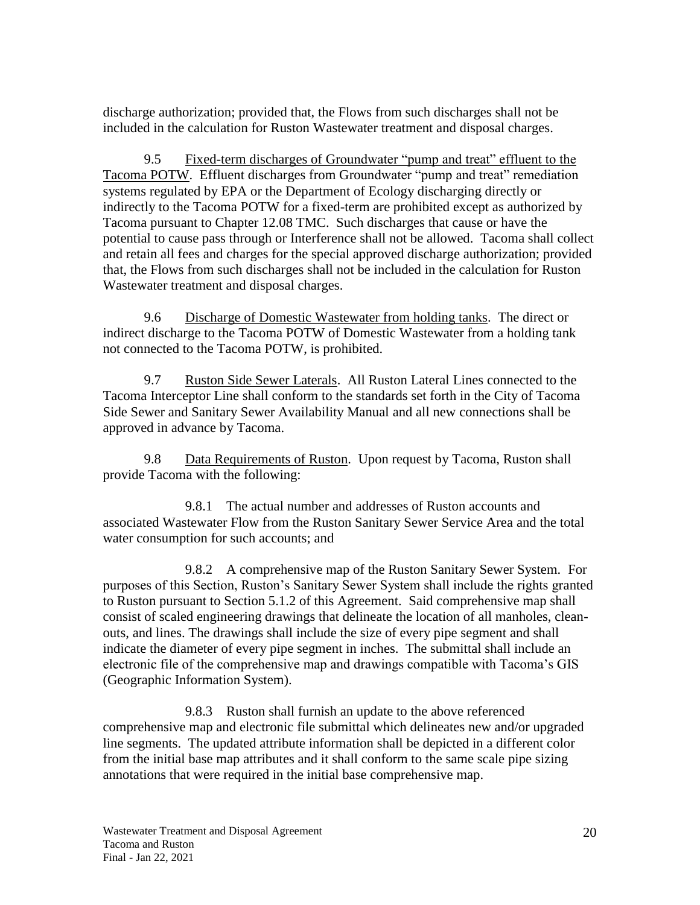discharge authorization; provided that, the Flows from such discharges shall not be included in the calculation for Ruston Wastewater treatment and disposal charges.

9.5 Fixed-term discharges of Groundwater "pump and treat" effluent to the Tacoma POTW. Effluent discharges from Groundwater "pump and treat" remediation systems regulated by EPA or the Department of Ecology discharging directly or indirectly to the Tacoma POTW for a fixed-term are prohibited except as authorized by Tacoma pursuant to Chapter 12.08 TMC. Such discharges that cause or have the potential to cause pass through or Interference shall not be allowed. Tacoma shall collect and retain all fees and charges for the special approved discharge authorization; provided that, the Flows from such discharges shall not be included in the calculation for Ruston Wastewater treatment and disposal charges.

9.6 Discharge of Domestic Wastewater from holding tanks. The direct or indirect discharge to the Tacoma POTW of Domestic Wastewater from a holding tank not connected to the Tacoma POTW, is prohibited.

9.7 Ruston Side Sewer Laterals. All Ruston Lateral Lines connected to the Tacoma Interceptor Line shall conform to the standards set forth in the City of Tacoma Side Sewer and Sanitary Sewer Availability Manual and all new connections shall be approved in advance by Tacoma.

9.8 Data Requirements of Ruston. Upon request by Tacoma, Ruston shall provide Tacoma with the following:

9.8.1 The actual number and addresses of Ruston accounts and associated Wastewater Flow from the Ruston Sanitary Sewer Service Area and the total water consumption for such accounts; and

9.8.2 A comprehensive map of the Ruston Sanitary Sewer System. For purposes of this Section, Ruston's Sanitary Sewer System shall include the rights granted to Ruston pursuant to Section 5.1.2 of this Agreement. Said comprehensive map shall consist of scaled engineering drawings that delineate the location of all manholes, cleanouts, and lines. The drawings shall include the size of every pipe segment and shall indicate the diameter of every pipe segment in inches. The submittal shall include an electronic file of the comprehensive map and drawings compatible with Tacoma's GIS (Geographic Information System).

9.8.3 Ruston shall furnish an update to the above referenced comprehensive map and electronic file submittal which delineates new and/or upgraded line segments. The updated attribute information shall be depicted in a different color from the initial base map attributes and it shall conform to the same scale pipe sizing annotations that were required in the initial base comprehensive map.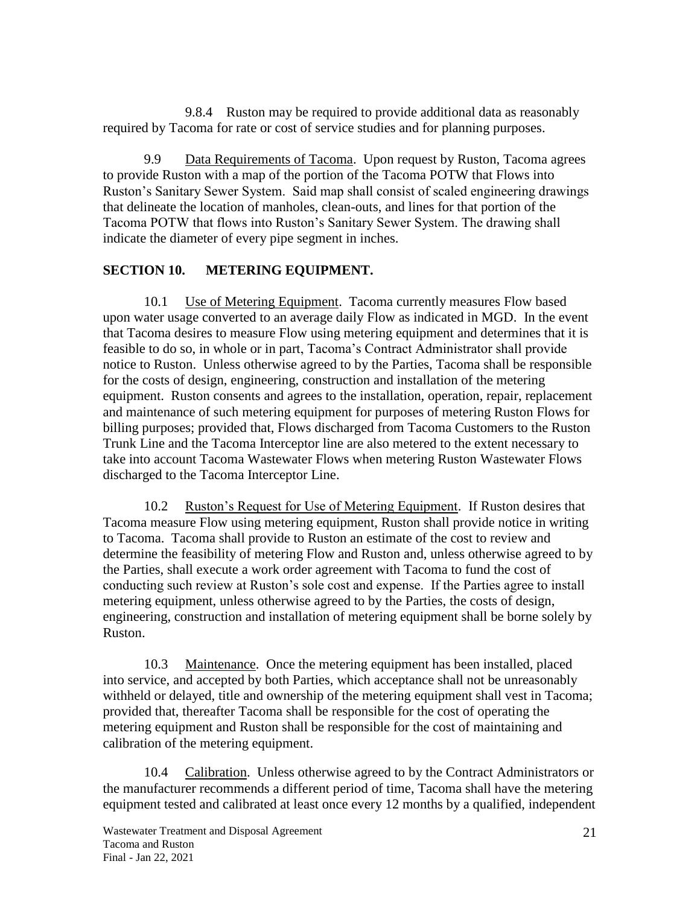9.8.4 Ruston may be required to provide additional data as reasonably required by Tacoma for rate or cost of service studies and for planning purposes.

9.9 Data Requirements of Tacoma. Upon request by Ruston, Tacoma agrees to provide Ruston with a map of the portion of the Tacoma POTW that Flows into Ruston's Sanitary Sewer System. Said map shall consist of scaled engineering drawings that delineate the location of manholes, clean-outs, and lines for that portion of the Tacoma POTW that flows into Ruston's Sanitary Sewer System. The drawing shall indicate the diameter of every pipe segment in inches.

#### <span id="page-26-0"></span>**SECTION 10. METERING EQUIPMENT.**

10.1 Use of Metering Equipment.Tacoma currently measures Flow based upon water usage converted to an average daily Flow as indicated in MGD. In the event that Tacoma desires to measure Flow using metering equipment and determines that it is feasible to do so, in whole or in part, Tacoma's Contract Administrator shall provide notice to Ruston. Unless otherwise agreed to by the Parties, Tacoma shall be responsible for the costs of design, engineering, construction and installation of the metering equipment. Ruston consents and agrees to the installation, operation, repair, replacement and maintenance of such metering equipment for purposes of metering Ruston Flows for billing purposes; provided that, Flows discharged from Tacoma Customers to the Ruston Trunk Line and the Tacoma Interceptor line are also metered to the extent necessary to take into account Tacoma Wastewater Flows when metering Ruston Wastewater Flows discharged to the Tacoma Interceptor Line.

10.2 Ruston's Request for Use of Metering Equipment. If Ruston desires that Tacoma measure Flow using metering equipment, Ruston shall provide notice in writing to Tacoma. Tacoma shall provide to Ruston an estimate of the cost to review and determine the feasibility of metering Flow and Ruston and, unless otherwise agreed to by the Parties, shall execute a work order agreement with Tacoma to fund the cost of conducting such review at Ruston's sole cost and expense. If the Parties agree to install metering equipment, unless otherwise agreed to by the Parties, the costs of design, engineering, construction and installation of metering equipment shall be borne solely by Ruston.

10.3 Maintenance. Once the metering equipment has been installed, placed into service, and accepted by both Parties, which acceptance shall not be unreasonably withheld or delayed, title and ownership of the metering equipment shall vest in Tacoma; provided that, thereafter Tacoma shall be responsible for the cost of operating the metering equipment and Ruston shall be responsible for the cost of maintaining and calibration of the metering equipment.

10.4 Calibration. Unless otherwise agreed to by the Contract Administrators or the manufacturer recommends a different period of time, Tacoma shall have the metering equipment tested and calibrated at least once every 12 months by a qualified, independent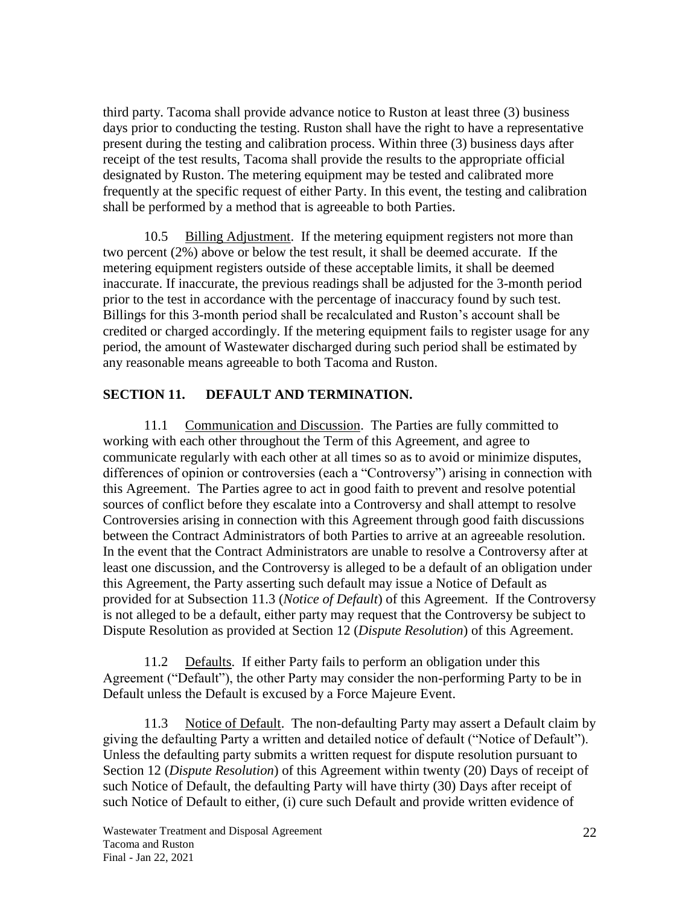third party. Tacoma shall provide advance notice to Ruston at least three (3) business days prior to conducting the testing. Ruston shall have the right to have a representative present during the testing and calibration process. Within three (3) business days after receipt of the test results, Tacoma shall provide the results to the appropriate official designated by Ruston. The metering equipment may be tested and calibrated more frequently at the specific request of either Party. In this event, the testing and calibration shall be performed by a method that is agreeable to both Parties.

10.5 Billing Adjustment. If the metering equipment registers not more than two percent (2%) above or below the test result, it shall be deemed accurate. If the metering equipment registers outside of these acceptable limits, it shall be deemed inaccurate. If inaccurate, the previous readings shall be adjusted for the 3-month period prior to the test in accordance with the percentage of inaccuracy found by such test. Billings for this 3-month period shall be recalculated and Ruston's account shall be credited or charged accordingly. If the metering equipment fails to register usage for any period, the amount of Wastewater discharged during such period shall be estimated by any reasonable means agreeable to both Tacoma and Ruston.

#### <span id="page-27-0"></span>**SECTION 11. DEFAULT AND TERMINATION.**

11.1 Communication and Discussion. The Parties are fully committed to working with each other throughout the Term of this Agreement, and agree to communicate regularly with each other at all times so as to avoid or minimize disputes, differences of opinion or controversies (each a "Controversy") arising in connection with this Agreement. The Parties agree to act in good faith to prevent and resolve potential sources of conflict before they escalate into a Controversy and shall attempt to resolve Controversies arising in connection with this Agreement through good faith discussions between the Contract Administrators of both Parties to arrive at an agreeable resolution. In the event that the Contract Administrators are unable to resolve a Controversy after at least one discussion, and the Controversy is alleged to be a default of an obligation under this Agreement, the Party asserting such default may issue a Notice of Default as provided for at Subsection 11.3 (*Notice of Default*) of this Agreement. If the Controversy is not alleged to be a default, either party may request that the Controversy be subject to Dispute Resolution as provided at Section 12 (*Dispute Resolution*) of this Agreement.

11.2 Defaults. If either Party fails to perform an obligation under this Agreement ("Default"), the other Party may consider the non-performing Party to be in Default unless the Default is excused by a Force Majeure Event.

11.3 Notice of Default. The non-defaulting Party may assert a Default claim by giving the defaulting Party a written and detailed notice of default ("Notice of Default"). Unless the defaulting party submits a written request for dispute resolution pursuant to Section 12 (*Dispute Resolution*) of this Agreement within twenty (20) Days of receipt of such Notice of Default, the defaulting Party will have thirty (30) Days after receipt of such Notice of Default to either, (i) cure such Default and provide written evidence of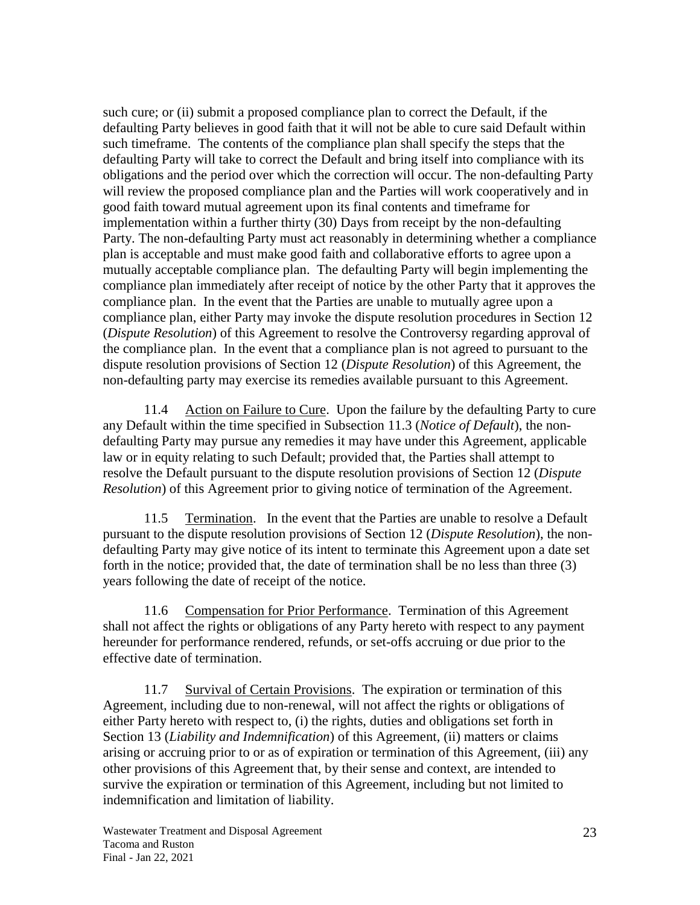such cure; or (ii) submit a proposed compliance plan to correct the Default, if the defaulting Party believes in good faith that it will not be able to cure said Default within such timeframe. The contents of the compliance plan shall specify the steps that the defaulting Party will take to correct the Default and bring itself into compliance with its obligations and the period over which the correction will occur. The non-defaulting Party will review the proposed compliance plan and the Parties will work cooperatively and in good faith toward mutual agreement upon its final contents and timeframe for implementation within a further thirty (30) Days from receipt by the non-defaulting Party. The non-defaulting Party must act reasonably in determining whether a compliance plan is acceptable and must make good faith and collaborative efforts to agree upon a mutually acceptable compliance plan. The defaulting Party will begin implementing the compliance plan immediately after receipt of notice by the other Party that it approves the compliance plan. In the event that the Parties are unable to mutually agree upon a compliance plan, either Party may invoke the dispute resolution procedures in Section 12 (*Dispute Resolution*) of this Agreement to resolve the Controversy regarding approval of the compliance plan. In the event that a compliance plan is not agreed to pursuant to the dispute resolution provisions of Section 12 (*Dispute Resolution*) of this Agreement, the non-defaulting party may exercise its remedies available pursuant to this Agreement.

11.4 Action on Failure to Cure. Upon the failure by the defaulting Party to cure any Default within the time specified in Subsection 11.3 (*Notice of Default*), the nondefaulting Party may pursue any remedies it may have under this Agreement, applicable law or in equity relating to such Default; provided that, the Parties shall attempt to resolve the Default pursuant to the dispute resolution provisions of Section 12 (*Dispute Resolution*) of this Agreement prior to giving notice of termination of the Agreement.

11.5 Termination. In the event that the Parties are unable to resolve a Default pursuant to the dispute resolution provisions of Section 12 (*Dispute Resolution*), the nondefaulting Party may give notice of its intent to terminate this Agreement upon a date set forth in the notice; provided that, the date of termination shall be no less than three (3) years following the date of receipt of the notice.

11.6 Compensation for Prior Performance. Termination of this Agreement shall not affect the rights or obligations of any Party hereto with respect to any payment hereunder for performance rendered, refunds, or set-offs accruing or due prior to the effective date of termination.

11.7 Survival of Certain Provisions. The expiration or termination of this Agreement, including due to non-renewal, will not affect the rights or obligations of either Party hereto with respect to, (i) the rights, duties and obligations set forth in Section 13 (*Liability and Indemnification*) of this Agreement, (ii) matters or claims arising or accruing prior to or as of expiration or termination of this Agreement, (iii) any other provisions of this Agreement that, by their sense and context, are intended to survive the expiration or termination of this Agreement, including but not limited to indemnification and limitation of liability.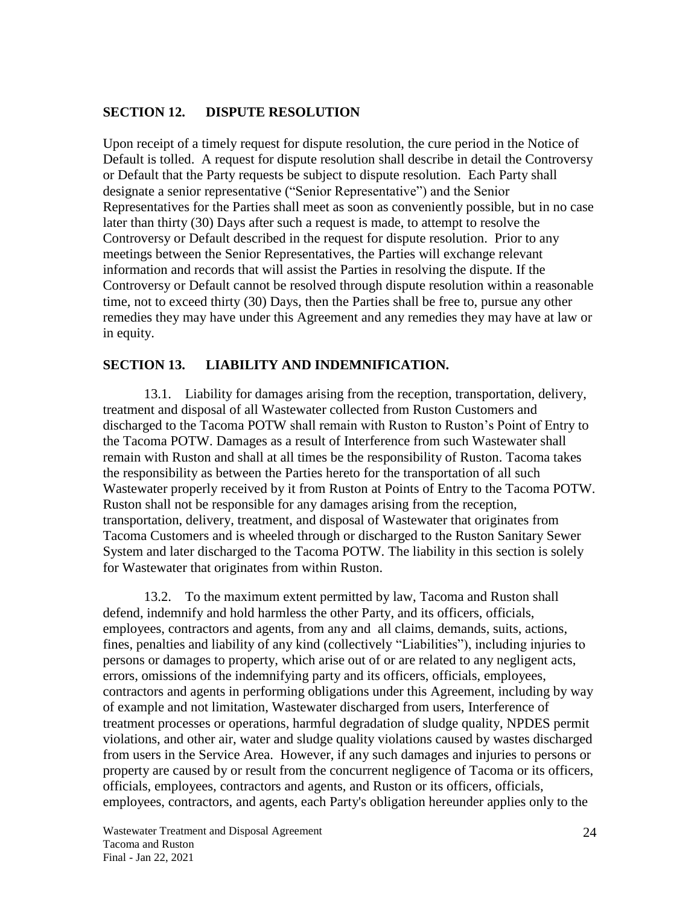#### <span id="page-29-0"></span>**SECTION 12. DISPUTE RESOLUTION**

Upon receipt of a timely request for dispute resolution, the cure period in the Notice of Default is tolled. A request for dispute resolution shall describe in detail the Controversy or Default that the Party requests be subject to dispute resolution. Each Party shall designate a senior representative ("Senior Representative") and the Senior Representatives for the Parties shall meet as soon as conveniently possible, but in no case later than thirty (30) Days after such a request is made, to attempt to resolve the Controversy or Default described in the request for dispute resolution. Prior to any meetings between the Senior Representatives, the Parties will exchange relevant information and records that will assist the Parties in resolving the dispute. If the Controversy or Default cannot be resolved through dispute resolution within a reasonable time, not to exceed thirty (30) Days, then the Parties shall be free to, pursue any other remedies they may have under this Agreement and any remedies they may have at law or in equity.

#### <span id="page-29-1"></span>**SECTION 13. LIABILITY AND INDEMNIFICATION.**

13.1. Liability for damages arising from the reception, transportation, delivery, treatment and disposal of all Wastewater collected from Ruston Customers and discharged to the Tacoma POTW shall remain with Ruston to Ruston's Point of Entry to the Tacoma POTW. Damages as a result of Interference from such Wastewater shall remain with Ruston and shall at all times be the responsibility of Ruston. Tacoma takes the responsibility as between the Parties hereto for the transportation of all such Wastewater properly received by it from Ruston at Points of Entry to the Tacoma POTW. Ruston shall not be responsible for any damages arising from the reception, transportation, delivery, treatment, and disposal of Wastewater that originates from Tacoma Customers and is wheeled through or discharged to the Ruston Sanitary Sewer System and later discharged to the Tacoma POTW. The liability in this section is solely for Wastewater that originates from within Ruston.

13.2. To the maximum extent permitted by law, Tacoma and Ruston shall defend, indemnify and hold harmless the other Party, and its officers, officials, employees, contractors and agents, from any and all claims, demands, suits, actions, fines, penalties and liability of any kind (collectively "Liabilities"), including injuries to persons or damages to property, which arise out of or are related to any negligent acts, errors, omissions of the indemnifying party and its officers, officials, employees, contractors and agents in performing obligations under this Agreement, including by way of example and not limitation, Wastewater discharged from users, Interference of treatment processes or operations, harmful degradation of sludge quality, NPDES permit violations, and other air, water and sludge quality violations caused by wastes discharged from users in the Service Area. However, if any such damages and injuries to persons or property are caused by or result from the concurrent negligence of Tacoma or its officers, officials, employees, contractors and agents, and Ruston or its officers, officials, employees, contractors, and agents, each Party's obligation hereunder applies only to the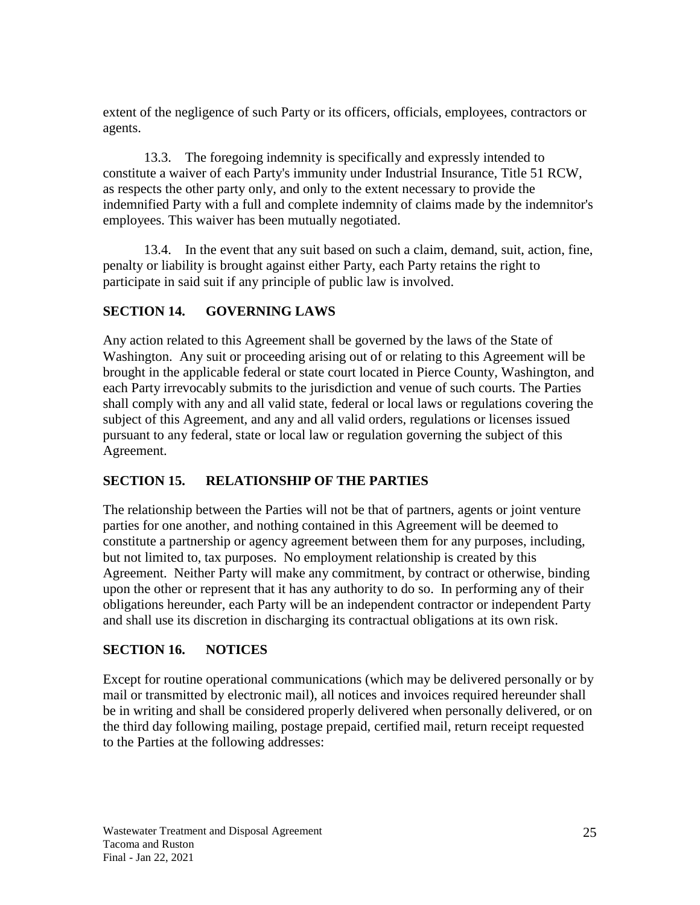extent of the negligence of such Party or its officers, officials, employees, contractors or agents.

13.3. The foregoing indemnity is specifically and expressly intended to constitute a waiver of each Party's immunity under Industrial Insurance, Title 51 RCW, as respects the other party only, and only to the extent necessary to provide the indemnified Party with a full and complete indemnity of claims made by the indemnitor's employees. This waiver has been mutually negotiated.

13.4. In the event that any suit based on such a claim, demand, suit, action, fine, penalty or liability is brought against either Party, each Party retains the right to participate in said suit if any principle of public law is involved.

#### <span id="page-30-0"></span>**SECTION 14. GOVERNING LAWS**

Any action related to this Agreement shall be governed by the laws of the State of Washington. Any suit or proceeding arising out of or relating to this Agreement will be brought in the applicable federal or state court located in Pierce County, Washington, and each Party irrevocably submits to the jurisdiction and venue of such courts. The Parties shall comply with any and all valid state, federal or local laws or regulations covering the subject of this Agreement, and any and all valid orders, regulations or licenses issued pursuant to any federal, state or local law or regulation governing the subject of this Agreement.

## <span id="page-30-1"></span>**SECTION 15. RELATIONSHIP OF THE PARTIES**

The relationship between the Parties will not be that of partners, agents or joint venture parties for one another, and nothing contained in this Agreement will be deemed to constitute a partnership or agency agreement between them for any purposes, including, but not limited to, tax purposes. No employment relationship is created by this Agreement. Neither Party will make any commitment, by contract or otherwise, binding upon the other or represent that it has any authority to do so. In performing any of their obligations hereunder, each Party will be an independent contractor or independent Party and shall use its discretion in discharging its contractual obligations at its own risk.

#### <span id="page-30-2"></span>**SECTION 16. NOTICES**

Except for routine operational communications (which may be delivered personally or by mail or transmitted by electronic mail), all notices and invoices required hereunder shall be in writing and shall be considered properly delivered when personally delivered, or on the third day following mailing, postage prepaid, certified mail, return receipt requested to the Parties at the following addresses: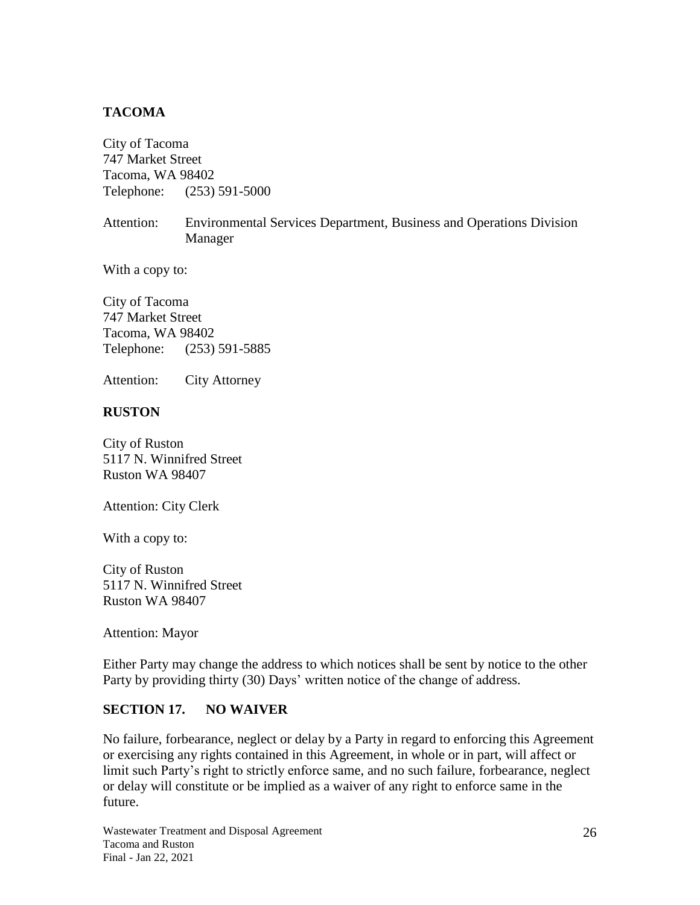#### **TACOMA**

City of Tacoma 747 Market Street Tacoma, WA 98402 Telephone: (253) 591-5000

Attention: Environmental Services Department, Business and Operations Division Manager

With a copy to:

City of Tacoma 747 Market Street Tacoma, WA 98402 Telephone: (253) 591-5885

Attention: City Attorney

#### **RUSTON**

City of Ruston 5117 N. Winnifred Street Ruston WA 98407

Attention: City Clerk

With a copy to:

City of Ruston 5117 N. Winnifred Street Ruston WA 98407

Attention: Mayor

Either Party may change the address to which notices shall be sent by notice to the other Party by providing thirty (30) Days' written notice of the change of address.

#### <span id="page-31-0"></span>**SECTION 17. NO WAIVER**

No failure, forbearance, neglect or delay by a Party in regard to enforcing this Agreement or exercising any rights contained in this Agreement, in whole or in part, will affect or limit such Party's right to strictly enforce same, and no such failure, forbearance, neglect or delay will constitute or be implied as a waiver of any right to enforce same in the future.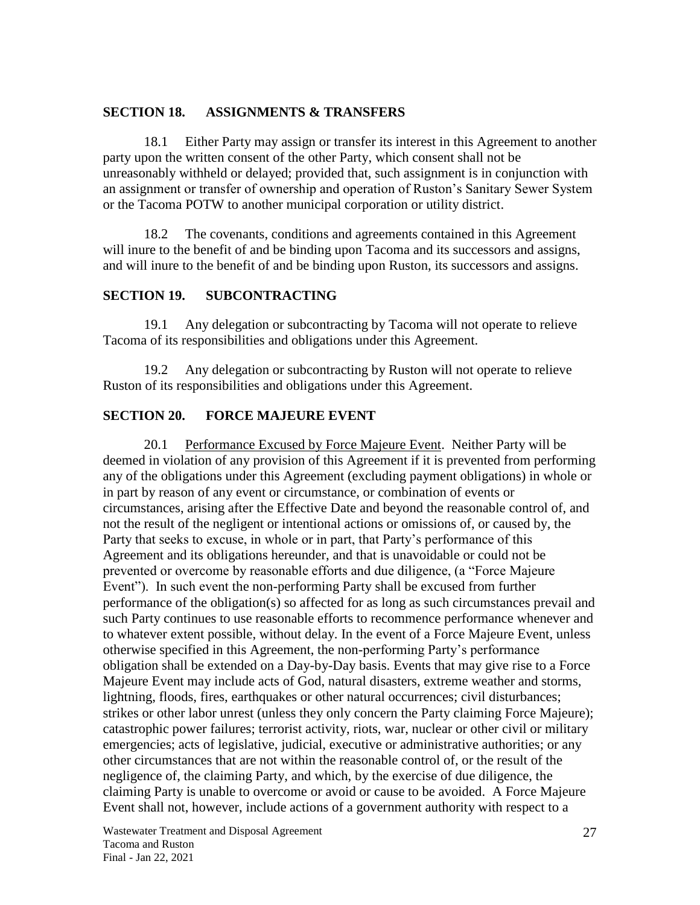#### <span id="page-32-0"></span>**SECTION 18. ASSIGNMENTS & TRANSFERS**

18.1 Either Party may assign or transfer its interest in this Agreement to another party upon the written consent of the other Party, which consent shall not be unreasonably withheld or delayed; provided that, such assignment is in conjunction with an assignment or transfer of ownership and operation of Ruston's Sanitary Sewer System or the Tacoma POTW to another municipal corporation or utility district.

18.2 The covenants, conditions and agreements contained in this Agreement will inure to the benefit of and be binding upon Tacoma and its successors and assigns, and will inure to the benefit of and be binding upon Ruston, its successors and assigns.

#### <span id="page-32-1"></span>**SECTION 19. SUBCONTRACTING**

19.1 Any delegation or subcontracting by Tacoma will not operate to relieve Tacoma of its responsibilities and obligations under this Agreement.

19.2 Any delegation or subcontracting by Ruston will not operate to relieve Ruston of its responsibilities and obligations under this Agreement.

#### <span id="page-32-2"></span>**SECTION 20. FORCE MAJEURE EVENT**

20.1 Performance Excused by Force Majeure Event. Neither Party will be deemed in violation of any provision of this Agreement if it is prevented from performing any of the obligations under this Agreement (excluding payment obligations) in whole or in part by reason of any event or circumstance, or combination of events or circumstances, arising after the Effective Date and beyond the reasonable control of, and not the result of the negligent or intentional actions or omissions of, or caused by, the Party that seeks to excuse, in whole or in part, that Party's performance of this Agreement and its obligations hereunder, and that is unavoidable or could not be prevented or overcome by reasonable efforts and due diligence, (a "Force Majeure Event"). In such event the non-performing Party shall be excused from further performance of the obligation(s) so affected for as long as such circumstances prevail and such Party continues to use reasonable efforts to recommence performance whenever and to whatever extent possible, without delay. In the event of a Force Majeure Event, unless otherwise specified in this Agreement, the non-performing Party's performance obligation shall be extended on a Day-by-Day basis. Events that may give rise to a Force Majeure Event may include acts of God, natural disasters, extreme weather and storms, lightning, floods, fires, earthquakes or other natural occurrences; civil disturbances; strikes or other labor unrest (unless they only concern the Party claiming Force Majeure); catastrophic power failures; terrorist activity, riots, war, nuclear or other civil or military emergencies; acts of legislative, judicial, executive or administrative authorities; or any other circumstances that are not within the reasonable control of, or the result of the negligence of, the claiming Party, and which, by the exercise of due diligence, the claiming Party is unable to overcome or avoid or cause to be avoided. A Force Majeure Event shall not, however, include actions of a government authority with respect to a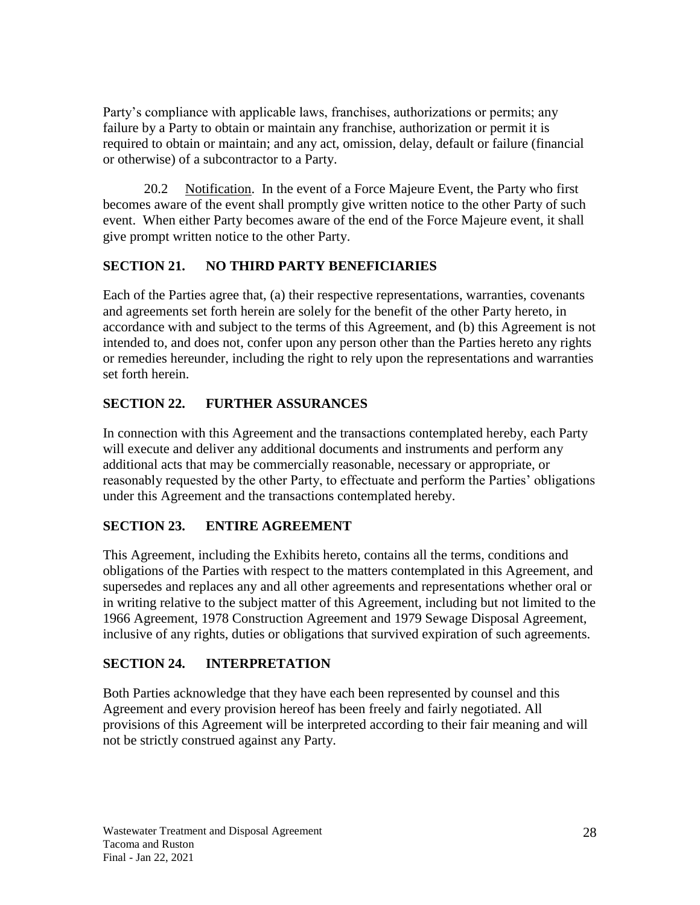Party's compliance with applicable laws, franchises, authorizations or permits; any failure by a Party to obtain or maintain any franchise, authorization or permit it is required to obtain or maintain; and any act, omission, delay, default or failure (financial or otherwise) of a subcontractor to a Party.

20.2 Notification. In the event of a Force Majeure Event, the Party who first becomes aware of the event shall promptly give written notice to the other Party of such event. When either Party becomes aware of the end of the Force Majeure event, it shall give prompt written notice to the other Party.

## <span id="page-33-0"></span>**SECTION 21. NO THIRD PARTY BENEFICIARIES**

Each of the Parties agree that, (a) their respective representations, warranties, covenants and agreements set forth herein are solely for the benefit of the other Party hereto, in accordance with and subject to the terms of this Agreement, and (b) this Agreement is not intended to, and does not, confer upon any person other than the Parties hereto any rights or remedies hereunder, including the right to rely upon the representations and warranties set forth herein.

## <span id="page-33-1"></span>**SECTION 22. FURTHER ASSURANCES**

In connection with this Agreement and the transactions contemplated hereby, each Party will execute and deliver any additional documents and instruments and perform any additional acts that may be commercially reasonable, necessary or appropriate, or reasonably requested by the other Party, to effectuate and perform the Parties' obligations under this Agreement and the transactions contemplated hereby.

## <span id="page-33-2"></span>**SECTION 23. ENTIRE AGREEMENT**

This Agreement, including the Exhibits hereto, contains all the terms, conditions and obligations of the Parties with respect to the matters contemplated in this Agreement, and supersedes and replaces any and all other agreements and representations whether oral or in writing relative to the subject matter of this Agreement, including but not limited to the 1966 Agreement, 1978 Construction Agreement and 1979 Sewage Disposal Agreement, inclusive of any rights, duties or obligations that survived expiration of such agreements.

## <span id="page-33-3"></span>**SECTION 24. INTERPRETATION**

Both Parties acknowledge that they have each been represented by counsel and this Agreement and every provision hereof has been freely and fairly negotiated. All provisions of this Agreement will be interpreted according to their fair meaning and will not be strictly construed against any Party.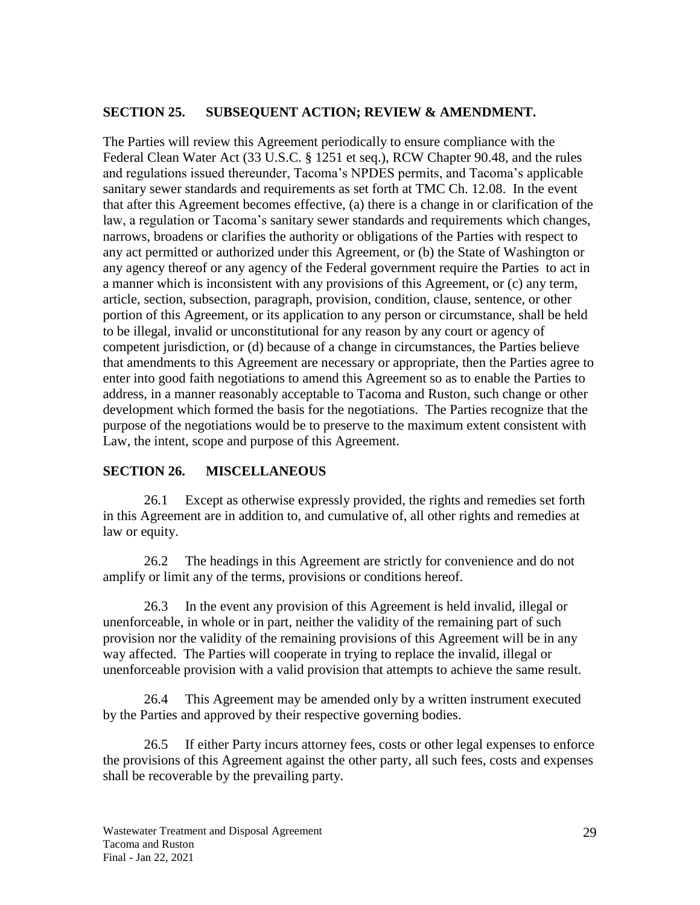#### <span id="page-34-0"></span>**SECTION 25. SUBSEQUENT ACTION; REVIEW & AMENDMENT.**

The Parties will review this Agreement periodically to ensure compliance with the Federal Clean Water Act (33 U.S.C. § 1251 et seq.), RCW Chapter 90.48, and the rules and regulations issued thereunder, Tacoma's NPDES permits, and Tacoma's applicable sanitary sewer standards and requirements as set forth at TMC Ch. 12.08. In the event that after this Agreement becomes effective, (a) there is a change in or clarification of the law, a regulation or Tacoma's sanitary sewer standards and requirements which changes, narrows, broadens or clarifies the authority or obligations of the Parties with respect to any act permitted or authorized under this Agreement, or (b) the State of Washington or any agency thereof or any agency of the Federal government require the Parties to act in a manner which is inconsistent with any provisions of this Agreement, or (c) any term, article, section, subsection, paragraph, provision, condition, clause, sentence, or other portion of this Agreement, or its application to any person or circumstance, shall be held to be illegal, invalid or unconstitutional for any reason by any court or agency of competent jurisdiction, or (d) because of a change in circumstances, the Parties believe that amendments to this Agreement are necessary or appropriate, then the Parties agree to enter into good faith negotiations to amend this Agreement so as to enable the Parties to address, in a manner reasonably acceptable to Tacoma and Ruston, such change or other development which formed the basis for the negotiations. The Parties recognize that the purpose of the negotiations would be to preserve to the maximum extent consistent with Law, the intent, scope and purpose of this Agreement.

#### <span id="page-34-1"></span>**SECTION 26. MISCELLANEOUS**

26.1 Except as otherwise expressly provided, the rights and remedies set forth in this Agreement are in addition to, and cumulative of, all other rights and remedies at law or equity.

26.2 The headings in this Agreement are strictly for convenience and do not amplify or limit any of the terms, provisions or conditions hereof.

26.3 In the event any provision of this Agreement is held invalid, illegal or unenforceable, in whole or in part, neither the validity of the remaining part of such provision nor the validity of the remaining provisions of this Agreement will be in any way affected. The Parties will cooperate in trying to replace the invalid, illegal or unenforceable provision with a valid provision that attempts to achieve the same result.

26.4 This Agreement may be amended only by a written instrument executed by the Parties and approved by their respective governing bodies.

26.5 If either Party incurs attorney fees, costs or other legal expenses to enforce the provisions of this Agreement against the other party, all such fees, costs and expenses shall be recoverable by the prevailing party.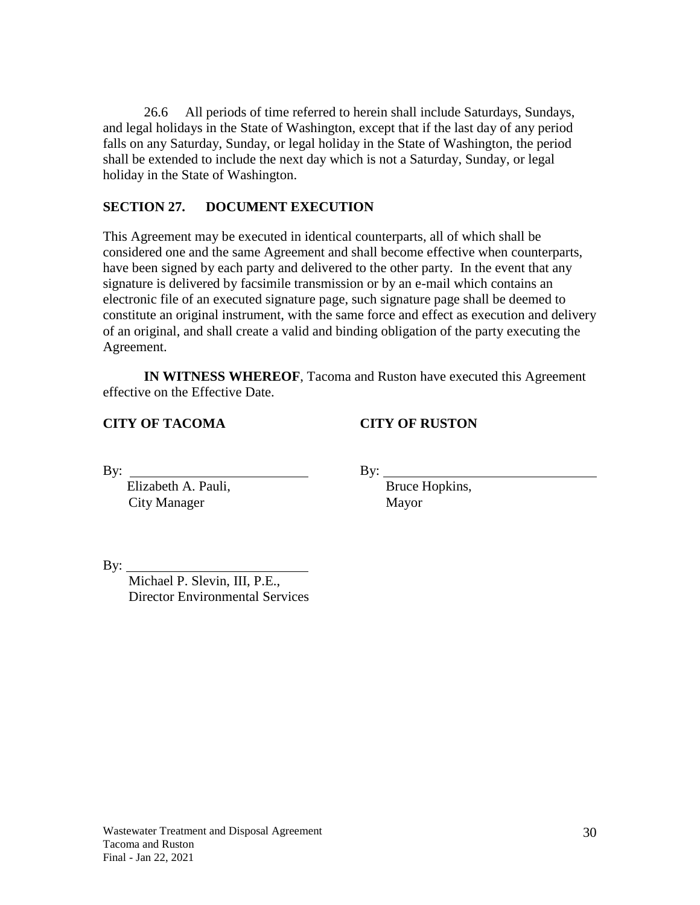26.6 All periods of time referred to herein shall include Saturdays, Sundays, and legal holidays in the State of Washington, except that if the last day of any period falls on any Saturday, Sunday, or legal holiday in the State of Washington, the period shall be extended to include the next day which is not a Saturday, Sunday, or legal holiday in the State of Washington.

#### <span id="page-35-0"></span>**SECTION 27. DOCUMENT EXECUTION**

This Agreement may be executed in identical counterparts, all of which shall be considered one and the same Agreement and shall become effective when counterparts, have been signed by each party and delivered to the other party. In the event that any signature is delivered by facsimile transmission or by an e-mail which contains an electronic file of an executed signature page, such signature page shall be deemed to constitute an original instrument, with the same force and effect as execution and delivery of an original, and shall create a valid and binding obligation of the party executing the Agreement.

**IN WITNESS WHEREOF**, Tacoma and Ruston have executed this Agreement effective on the Effective Date.

**CITY OF TACOMA CITY OF RUSTON**

Elizabeth A. Pauli, Bruce Hopkins, City Manager Mayor

By:  $\qquad \qquad \qquad$  By:

By:  $\overline{\phantom{0}}$ 

Michael P. Slevin, III, P.E., Director Environmental Services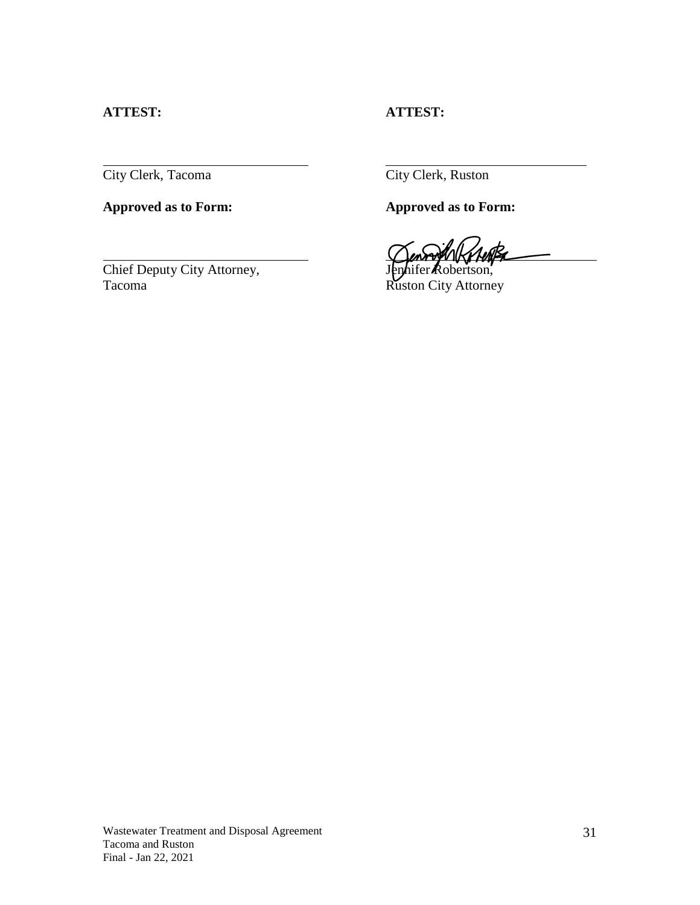#### **ATTEST: ATTEST:**

City Clerk, Tacoma City Clerk, Ruston

**Approved as to Form: Approved as to Form:**

Chief Deputy City Attorney, Jennifer Robertson, Tacoma Ruston City Attorney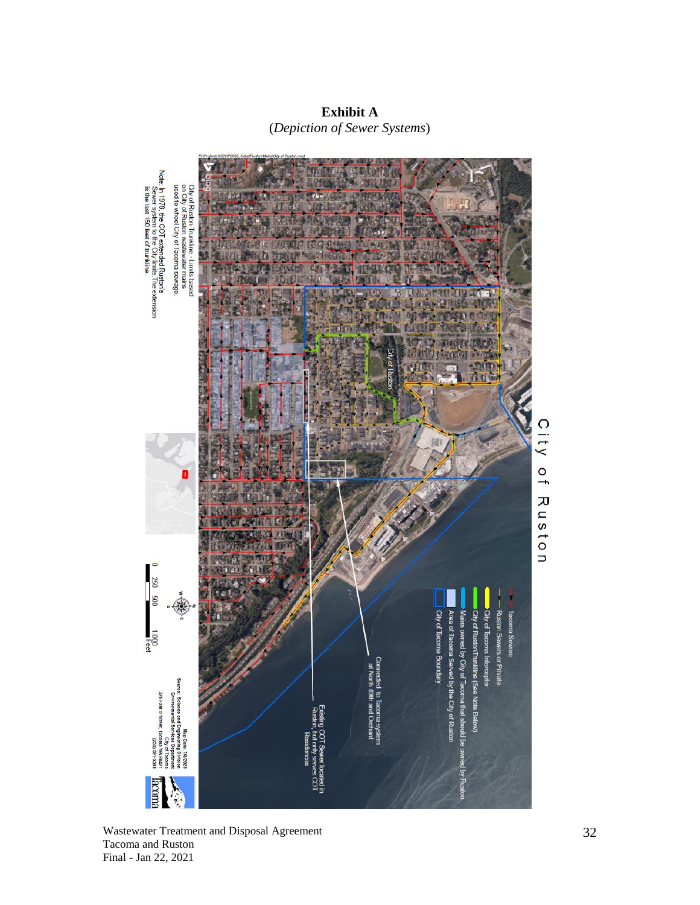Note: In 1978, the COT extended Ruston's<br>Sewer system to the City limits.The extension<br>is the last 150 feet of trunkline. City of Ruston Trunkline - Limits based<br>on City of Ruston wastewater mains<br>used to wheel City of Tacoma sewage. City of Ruston 0 250 500 Area of Tacoma Served by the City of Ri Mains owned by City of Tacc City of Tacc lacoma Se City of Tacoma Boundary City of Rus 1,000<br>The Connected to Tacoma syste<br>- at North 49th and Orchard 326 East D Street, T Science Ë Map Uate coma WA 98421<br>1253) 591-5588 City **Rooma** Sol

**Exhibit A** (*Depiction of Sewer Systems*)

Wastewater Treatment and Disposal Agreement Tacoma and Ruston Final - Jan 22, 2021